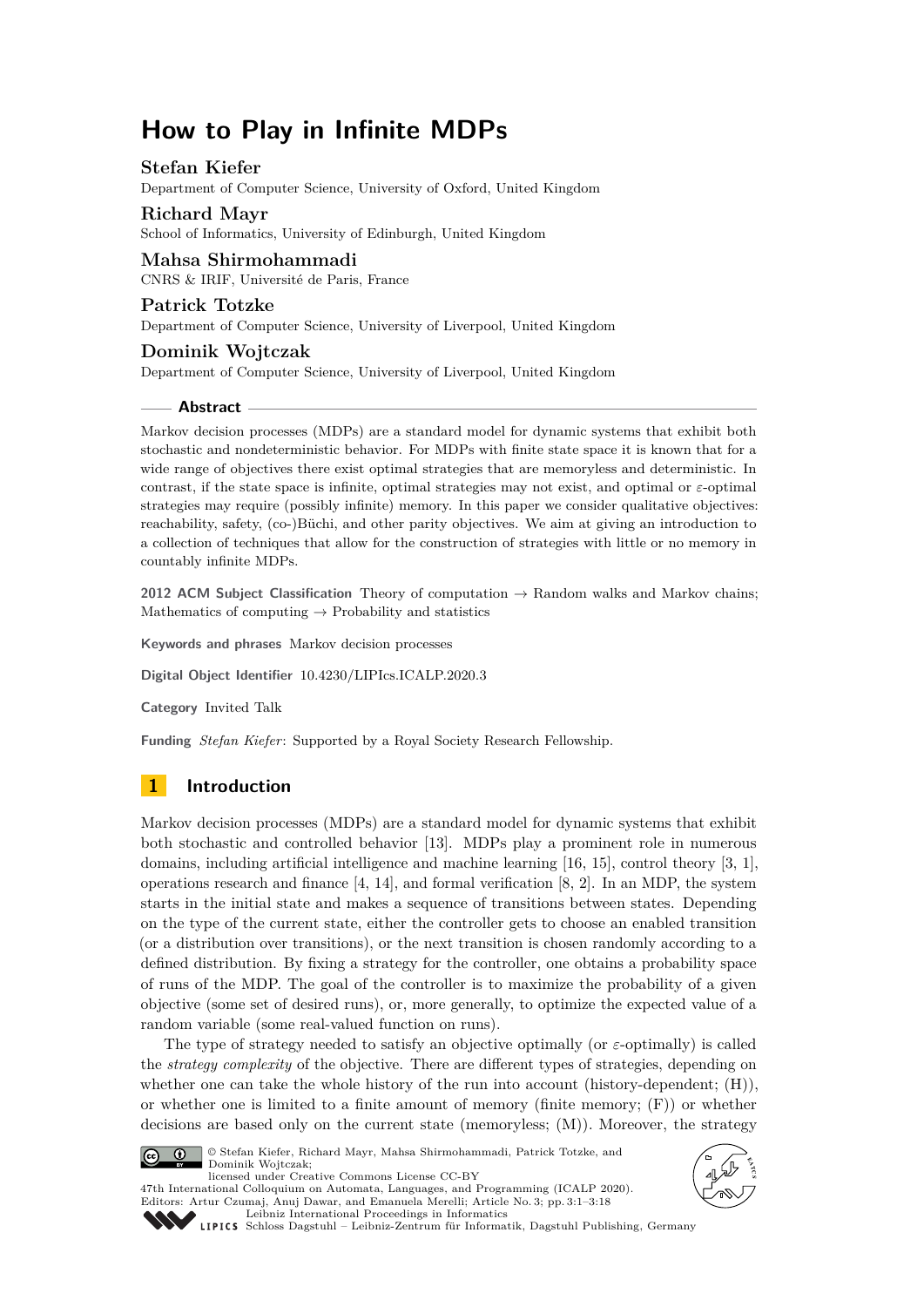# **How to Play in Infinite MDPs**

## **Stefan Kiefer**

Department of Computer Science, University of Oxford, United Kingdom

## **Richard Mayr**

School of Informatics, University of Edinburgh, United Kingdom

#### **Mahsa Shirmohammadi** CNRS & IRIF, Université de Paris, France

**Patrick Totzke**

Department of Computer Science, University of Liverpool, United Kingdom

## **Dominik Wojtczak**

Department of Computer Science, University of Liverpool, United Kingdom

#### **Abstract**

Markov decision processes (MDPs) are a standard model for dynamic systems that exhibit both stochastic and nondeterministic behavior. For MDPs with finite state space it is known that for a wide range of objectives there exist optimal strategies that are memoryless and deterministic. In contrast, if the state space is infinite, optimal strategies may not exist, and optimal or *ε*-optimal strategies may require (possibly infinite) memory. In this paper we consider qualitative objectives: reachability, safety, (co-)Büchi, and other parity objectives. We aim at giving an introduction to a collection of techniques that allow for the construction of strategies with little or no memory in countably infinite MDPs.

**2012 ACM Subject Classification** Theory of computation → Random walks and Markov chains; Mathematics of computing  $\rightarrow$  Probability and statistics

**Keywords and phrases** Markov decision processes

**Digital Object Identifier** [10.4230/LIPIcs.ICALP.2020.3](https://doi.org/10.4230/LIPIcs.ICALP.2020.3)

**Category** Invited Talk

**Funding** *Stefan Kiefer*: Supported by a Royal Society Research Fellowship.

# **1 Introduction**

Markov decision processes (MDPs) are a standard model for dynamic systems that exhibit both stochastic and controlled behavior [\[13\]](#page-17-0). MDPs play a prominent role in numerous domains, including artificial intelligence and machine learning [\[16,](#page-17-1) [15\]](#page-17-2), control theory [\[3,](#page-16-0) [1\]](#page-16-1), operations research and finance [\[4,](#page-16-2) [14\]](#page-17-3), and formal verification [\[8,](#page-16-3) [2\]](#page-16-4). In an MDP, the system starts in the initial state and makes a sequence of transitions between states. Depending on the type of the current state, either the controller gets to choose an enabled transition (or a distribution over transitions), or the next transition is chosen randomly according to a defined distribution. By fixing a strategy for the controller, one obtains a probability space of runs of the MDP. The goal of the controller is to maximize the probability of a given objective (some set of desired runs), or, more generally, to optimize the expected value of a random variable (some real-valued function on runs).

The type of strategy needed to satisfy an objective optimally (or *ε*-optimally) is called the *strategy complexity* of the objective. There are different types of strategies, depending on whether one can take the whole history of the run into account (history-dependent; (H)), or whether one is limited to a finite amount of memory (finite memory; (F)) or whether decisions are based only on the current state (memoryless; (M)). Moreover, the strategy



© Stefan Kiefer, Richard Mayr, Mahsa Shirmohammadi, Patrick Totzke, and Dominik Wojtczak; licensed under Creative Commons License CC-BY 47th International Colloquium on Automata, Languages, and Programming (ICALP 2020). Editors: Artur Czumaj, Anuj Dawar, and Emanuela Merelli; Article No. 3; pp. 3:1–3[:18](#page-17-4)



[Leibniz International Proceedings in Informatics](https://www.dagstuhl.de/lipics/) [Schloss Dagstuhl – Leibniz-Zentrum für Informatik, Dagstuhl Publishing, Germany](https://www.dagstuhl.de)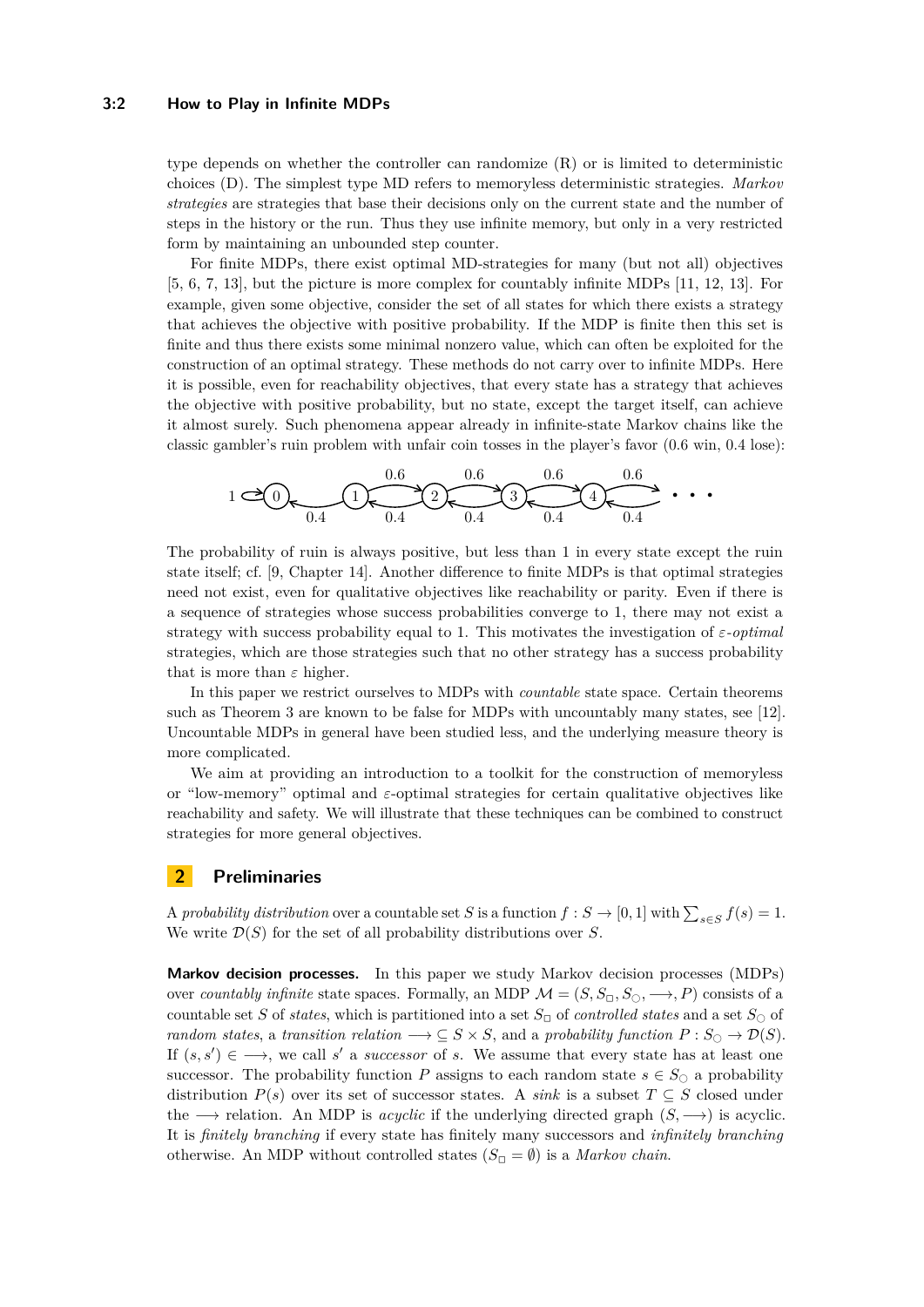#### **3:2 How to Play in Infinite MDPs**

type depends on whether the controller can randomize  $(R)$  or is limited to deterministic choices (D). The simplest type MD refers to memoryless deterministic strategies. *Markov strategies* are strategies that base their decisions only on the current state and the number of steps in the history or the run. Thus they use infinite memory, but only in a very restricted form by maintaining an unbounded step counter.

For finite MDPs, there exist optimal MD-strategies for many (but not all) objectives [\[5,](#page-16-5) [6,](#page-16-6) [7,](#page-16-7) [13\]](#page-17-0), but the picture is more complex for countably infinite MDPs [\[11,](#page-16-8) [12,](#page-17-5) [13\]](#page-17-0). For example, given some objective, consider the set of all states for which there exists a strategy that achieves the objective with positive probability. If the MDP is finite then this set is finite and thus there exists some minimal nonzero value, which can often be exploited for the construction of an optimal strategy. These methods do not carry over to infinite MDPs. Here it is possible, even for reachability objectives, that every state has a strategy that achieves the objective with positive probability, but no state, except the target itself, can achieve it almost surely. Such phenomena appear already in infinite-state Markov chains like the classic gambler's ruin problem with unfair coin tosses in the player's favor (0.6 win, 0.4 lose):

<sup>1</sup> <sup>0</sup> <sup>1</sup> <sup>2</sup> <sup>3</sup> <sup>4</sup> · · · 0*.*6 0*.*6 0*.*6 0*.*6 0*.*4 0*.*4 0*.*4 0*.*4 0*.*4

The probability of ruin is always positive, but less than 1 in every state except the ruin state itself; cf. [\[9,](#page-16-9) Chapter 14]. Another difference to finite MDPs is that optimal strategies need not exist, even for qualitative objectives like reachability or parity. Even if there is a sequence of strategies whose success probabilities converge to 1, there may not exist a strategy with success probability equal to 1. This motivates the investigation of *ε-optimal* strategies, which are those strategies such that no other strategy has a success probability that is more than  $\varepsilon$  higher.

In this paper we restrict ourselves to MDPs with *countable* state space. Certain theorems such as Theorem [3](#page-4-0) are known to be false for MDPs with uncountably many states, see [\[12\]](#page-17-5). Uncountable MDPs in general have been studied less, and the underlying measure theory is more complicated.

We aim at providing an introduction to a toolkit for the construction of memoryless or "low-memory" optimal and *ε*-optimal strategies for certain qualitative objectives like reachability and safety. We will illustrate that these techniques can be combined to construct strategies for more general objectives.

## **2 Preliminaries**

A *probability distribution* over a countable set *S* is a function  $f : S \to [0,1]$  with  $\sum_{s \in S} f(s) = 1$ . We write  $\mathcal{D}(S)$  for the set of all probability distributions over *S*.

**Markov decision processes.** In this paper we study Markov decision processes (MDPs) over *countably infinite* state spaces. Formally, an MDP  $\mathcal{M} = (S, S_{\Box}, S_{\Diamond}, \longrightarrow, P)$  consists of a countable set *S* of *states*, which is partitioned into a set  $S_{\Box}$  of *controlled states* and a set  $S_{\Diamond}$  of *random states, a transition relation*  $\longrightarrow$  ⊆ *S* × *S*, and a *probability function*  $P: S_{\bigcirc} \rightarrow \mathcal{D}(S)$ . If  $(s, s') \in \longrightarrow$ , we call *s'* a *successor* of *s*. We assume that every state has at least one successor. The probability function *P* assigns to each random state  $s \in S_{\bigcirc}$  a probability distribution  $P(s)$  over its set of successor states. A *sink* is a subset  $T \subseteq S$  closed under the −→ relation. An MDP is *acyclic* if the underlying directed graph (*S,* −→) is acyclic. It is *finitely branching* if every state has finitely many successors and *infinitely branching* otherwise. An MDP without controlled states  $(S_{\Box} = \emptyset)$  is a *Markov chain*.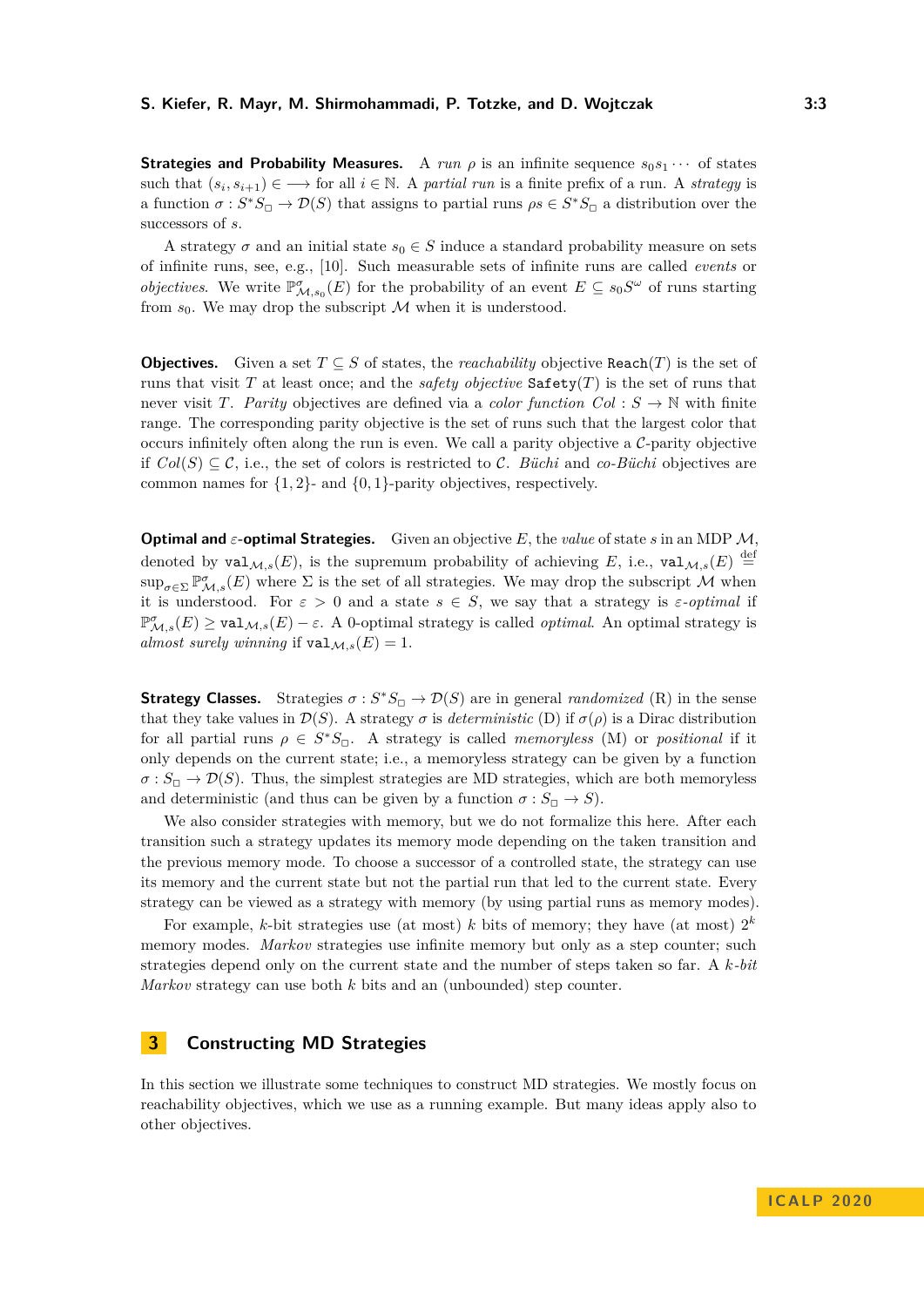**Strategies and Probability Measures.** A *run*  $\rho$  is an infinite sequence  $s_0s_1 \cdots$  of states such that  $(s_i, s_{i+1}) \in \longrightarrow$  for all  $i \in \mathbb{N}$ . A *partial run* is a finite prefix of a run. A *strategy* is a function  $\sigma : S^*S_{\square} \to \mathcal{D}(S)$  that assigns to partial runs  $\rho s \in S^*S_{\square}$  a distribution over the successors of *s*.

A strategy  $\sigma$  and an initial state  $s_0 \in S$  induce a standard probability measure on sets of infinite runs, see, e.g., [\[10\]](#page-16-10). Such measurable sets of infinite runs are called *events* or *objectives.* We write  $\mathbb{P}^{\sigma}_{\mathcal{M},s_0}(E)$  for the probability of an event  $E \subseteq s_0S^{\omega}$  of runs starting from  $s_0$ . We may drop the subscript  $M$  when it is understood.

**Objectives.** Given a set  $T \subseteq S$  of states, the *reachability* objective Reach(*T*) is the set of runs that visit *T* at least once; and the *safety objective*  $\text{Safety}(T)$  is the set of runs that never visit *T*. *Parity* objectives are defined via a *color function*  $Col : S \rightarrow \mathbb{N}$  with finite range. The corresponding parity objective is the set of runs such that the largest color that occurs infinitely often along the run is even. We call a parity objective a  $C$ -parity objective if  $Col(S) \subseteq \mathcal{C}$ , i.e., the set of colors is restricted to  $\mathcal{C}$ . *Büchi* and *co-Büchi* objectives are common names for {1*,* 2}- and {0*,* 1}-parity objectives, respectively.

**Optimal and** *ε***-optimal Strategies.** Given an objective *E*, the *value* of state *s* in an MDP M, denoted by  $\text{val}_{\mathcal{M},s}(E)$ , is the supremum probability of achieving E, i.e.,  $\text{val}_{\mathcal{M},s}(E) \stackrel{\text{def}}{=}$  $\sup_{\sigma \in \Sigma} \mathbb{P}^{\sigma}_{\mathcal{M},s}(E)$  where  $\Sigma$  is the set of all strategies. We may drop the subscript M when it is understood. For  $\varepsilon > 0$  and a state  $s \in S$ , we say that a strategy is  $\varepsilon$ -optimal if  $\mathbb{P}^{\sigma}_{\mathcal{M},s}(E) \ge \text{val}_{\mathcal{M},s}(E) - \varepsilon$ . A 0-optimal strategy is called *optimal*. An optimal strategy is *almost surely winning* if  $\text{val}_{M,s}(E) = 1$ .

**Strategy Classes.** Strategies  $\sigma : S^*S_{\square} \to \mathcal{D}(S)$  are in general *randomized* (R) in the sense that they take values in  $\mathcal{D}(S)$ . A strategy  $\sigma$  is *deterministic* (D) if  $\sigma(\rho)$  is a Dirac distribution for all partial runs  $\rho \in S^*S_{\square}$ . A strategy is called *memoryless* (M) or *positional* if it only depends on the current state; i.e., a memoryless strategy can be given by a function  $\sigma: S_{\Box} \to \mathcal{D}(S)$ . Thus, the simplest strategies are MD strategies, which are both memoryless and deterministic (and thus can be given by a function  $\sigma : S_{\Box} \to S$ ).

We also consider strategies with memory, but we do not formalize this here. After each transition such a strategy updates its memory mode depending on the taken transition and the previous memory mode. To choose a successor of a controlled state, the strategy can use its memory and the current state but not the partial run that led to the current state. Every strategy can be viewed as a strategy with memory (by using partial runs as memory modes).

For example, *k*-bit strategies use (at most) *k* bits of memory; they have (at most)  $2^k$ memory modes. *Markov* strategies use infinite memory but only as a step counter; such strategies depend only on the current state and the number of steps taken so far. A *k-bit Markov* strategy can use both *k* bits and an (unbounded) step counter.

## **3 Constructing MD Strategies**

In this section we illustrate some techniques to construct MD strategies. We mostly focus on reachability objectives, which we use as a running example. But many ideas apply also to other objectives.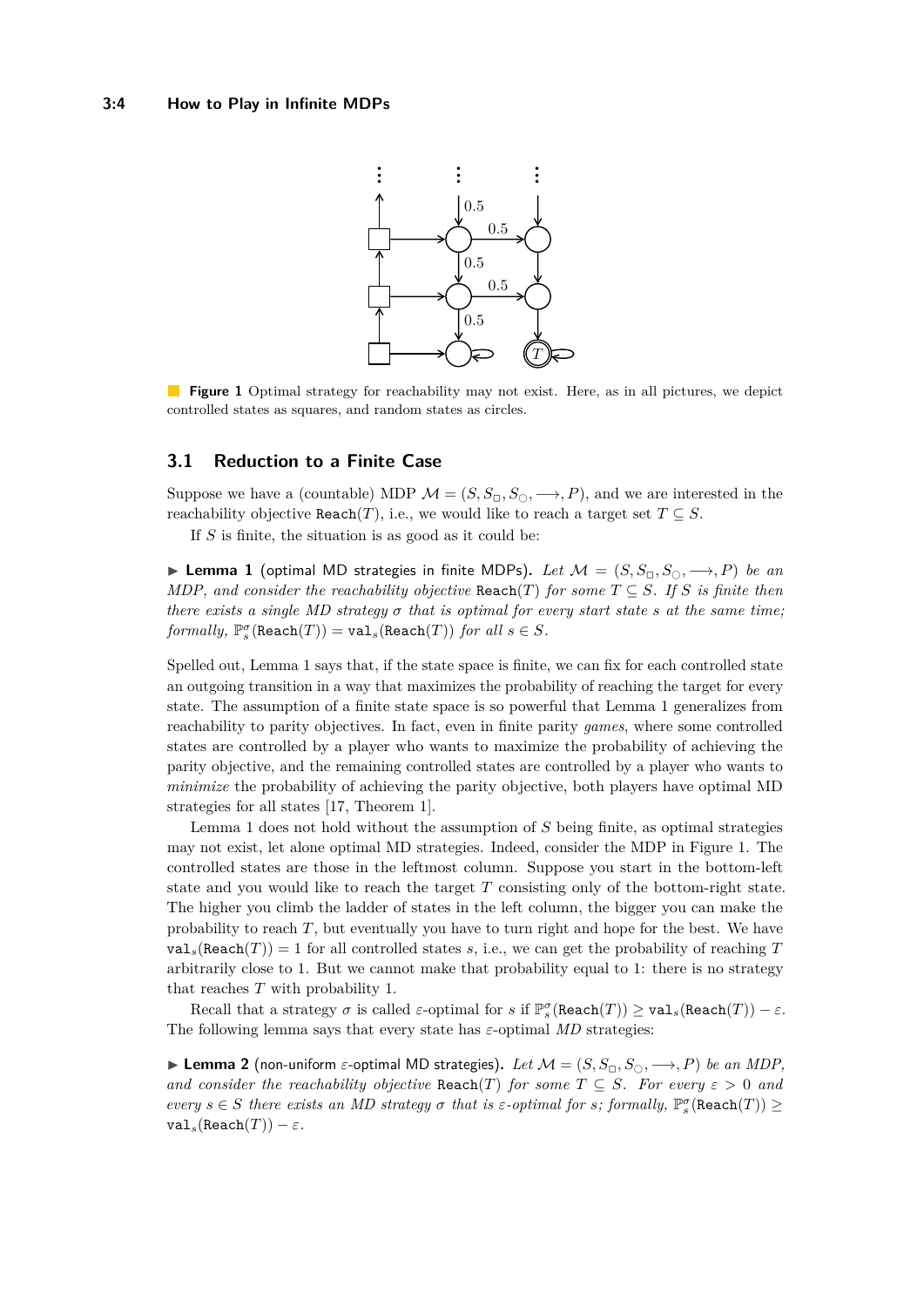<span id="page-3-1"></span>

**Figure 1** Optimal strategy for reachability may not exist. Here, as in all pictures, we depict controlled states as squares, and random states as circles.

## **3.1 Reduction to a Finite Case**

Suppose we have a (countable) MDP  $\mathcal{M} = (S, S_{\Box}, S_{\Box}, \longrightarrow, P)$ , and we are interested in the reachability objective Reach(*T*), i.e., we would like to reach a target set  $T \subseteq S$ .

If *S* is finite, the situation is as good as it could be:

<span id="page-3-0"></span>**► Lemma 1** (optimal MD strategies in finite MDPs). Let  $\mathcal{M} = (S, S_{\Box}, S_{\Box}, \longrightarrow, P)$  be an *MDP, and consider the reachability objective*  $\text{Reach}(T)$  *for some*  $T \subseteq S$ *. If S is finite then there exists a single MD strategy*  $\sigma$  *that is optimal for every start state*  $s$  *at the same time;*  $formally, \mathbb{P}_{s}^{\sigma}(\texttt{Reach}(T)) = \texttt{val}_{s}(\texttt{Reach}(T)) \text{ for all } s \in S.$ 

Spelled out, Lemma [1](#page-3-0) says that, if the state space is finite, we can fix for each controlled state an outgoing transition in a way that maximizes the probability of reaching the target for every state. The assumption of a finite state space is so powerful that Lemma [1](#page-3-0) generalizes from reachability to parity objectives. In fact, even in finite parity *games*, where some controlled states are controlled by a player who wants to maximize the probability of achieving the parity objective, and the remaining controlled states are controlled by a player who wants to *minimize* the probability of achieving the parity objective, both players have optimal MD strategies for all states [\[17,](#page-17-6) Theorem 1].

Lemma [1](#page-3-0) does not hold without the assumption of *S* being finite, as optimal strategies may not exist, let alone optimal MD strategies. Indeed, consider the MDP in Figure [1.](#page-3-1) The controlled states are those in the leftmost column. Suppose you start in the bottom-left state and you would like to reach the target *T* consisting only of the bottom-right state. The higher you climb the ladder of states in the left column, the bigger you can make the probability to reach *T*, but eventually you have to turn right and hope for the best. We have  $\text{val}_s(\text{Reach}(T)) = 1$  for all controlled states *s*, i.e., we can get the probability of reaching *T* arbitrarily close to 1. But we cannot make that probability equal to 1: there is no strategy that reaches *T* with probability 1.

Recall that a strategy *σ* is called *ε*-optimal for *s* if  $\mathbb{P}_{s}^{\sigma}$ (Reach(*T*)) ≥ val<sub>*s*</sub>(Reach(*T*)) − *ε*. The following lemma says that every state has  $\varepsilon$ -optimal *MD* strategies:

<span id="page-3-2"></span>**Lemma 2** (non-uniform  $\varepsilon$ -optimal MD strategies). Let  $\mathcal{M} = (S, S_{\square}, S_{\square}, \longrightarrow, P)$  be an MDP, *and consider the reachability objective*  $\text{Reach}(T)$  *for some*  $T \subseteq S$ *. For every*  $\varepsilon > 0$  *and every*  $s \in S$  *there exists an MD strategy*  $\sigma$  *that is*  $\varepsilon$ -*optimal for*  $s$ *; formally,*  $\mathbb{P}_s^{\sigma}$ (Reach(*T*)) ≥  $\text{val}_s(\text{Reach}(T)) - \varepsilon.$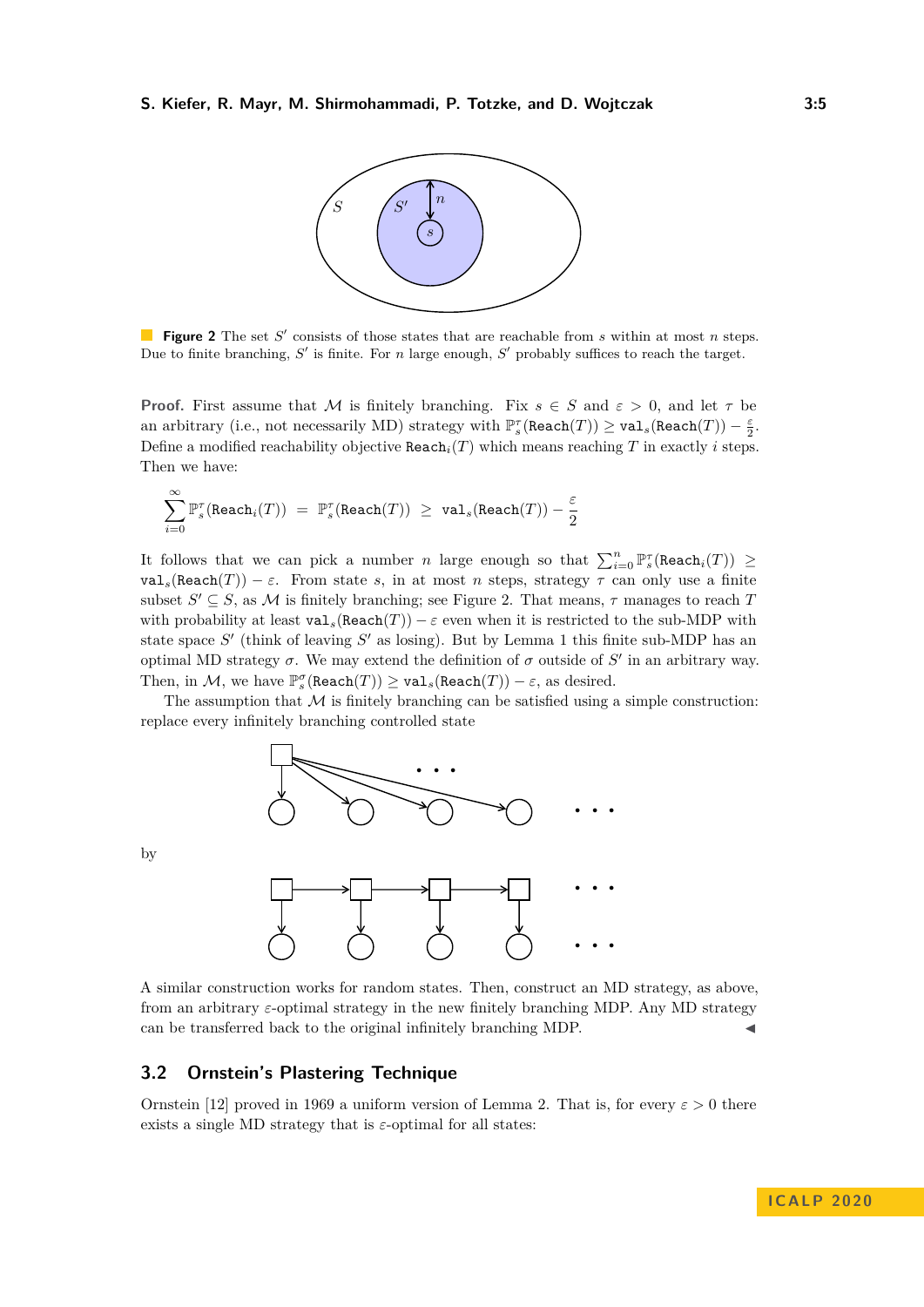<span id="page-4-1"></span>

**Figure 2** The set  $S'$  consists of those states that are reachable from  $s$  within at most  $n$  steps. Due to finite branching,  $S'$  is finite. For *n* large enough,  $S'$  probably suffices to reach the target.

**Proof.** First assume that M is finitely branching. Fix  $s \in S$  and  $\varepsilon > 0$ , and let  $\tau$  be an arbitrary (i.e., not necessarily MD) strategy with  $\mathbb{P}_s^{\tau}(\texttt{Reach}(T)) \geq \texttt{val}_s(\texttt{Reach}(T)) - \frac{\varepsilon}{2}$ . Define a modified reachability objective  $\text{Reach}_i(T)$  which means reaching  $T$  in exactly  $i$  steps. Then we have:

$$
\sum_{i=0}^\infty \mathbb{P}^\tau_s(\texttt{Reach}_i(T)) \ = \ \mathbb{P}^\tau_s(\texttt{Reach}(T)) \ \ge \ \texttt{val}_s(\texttt{Reach}(T)) - \frac{\varepsilon}{2}
$$

It follows that we can pick a number *n* large enough so that  $\sum_{i=0}^{n} \mathbb{P}_{s}^{\tau}(\text{Reach}_i(T)) \geq$  $\text{val}_s(\text{Reach}(T)) - \varepsilon$ . From state *s*, in at most *n* steps, strategy  $\tau$  can only use a finite subset  $S' \subseteq S$ , as M is finitely branching; see Figure [2.](#page-4-1) That means,  $\tau$  manages to reach *T* with probability at least  $\text{val}_s(\text{Reach}(T)) - \varepsilon$  even when it is restricted to the sub-MDP with state space  $S'$  (think of leaving  $S'$  as losing). But by Lemma [1](#page-3-0) this finite sub-MDP has an optimal MD strategy  $\sigma$ . We may extend the definition of  $\sigma$  outside of  $S'$  in an arbitrary way. Then, in  $\mathcal{M}$ , we have  $\mathbb{P}_{s}^{\sigma}(\texttt{Reach}(T)) \geq \texttt{val}_{s}(\texttt{Reach}(T)) - \varepsilon$ , as desired.

The assumption that  $\mathcal M$  is finitely branching can be satisfied using a simple construction: replace every infinitely branching controlled state



by



A similar construction works for random states. Then, construct an MD strategy, as above, from an arbitrary *ε*-optimal strategy in the new finitely branching MDP. Any MD strategy can be transferred back to the original infinitely branching MDP.

#### **3.2 Ornstein's Plastering Technique**

<span id="page-4-0"></span>Ornstein [\[12\]](#page-17-5) proved in 1969 a uniform version of Lemma [2.](#page-3-2) That is, for every  $\varepsilon > 0$  there exists a single MD strategy that is *ε*-optimal for all states: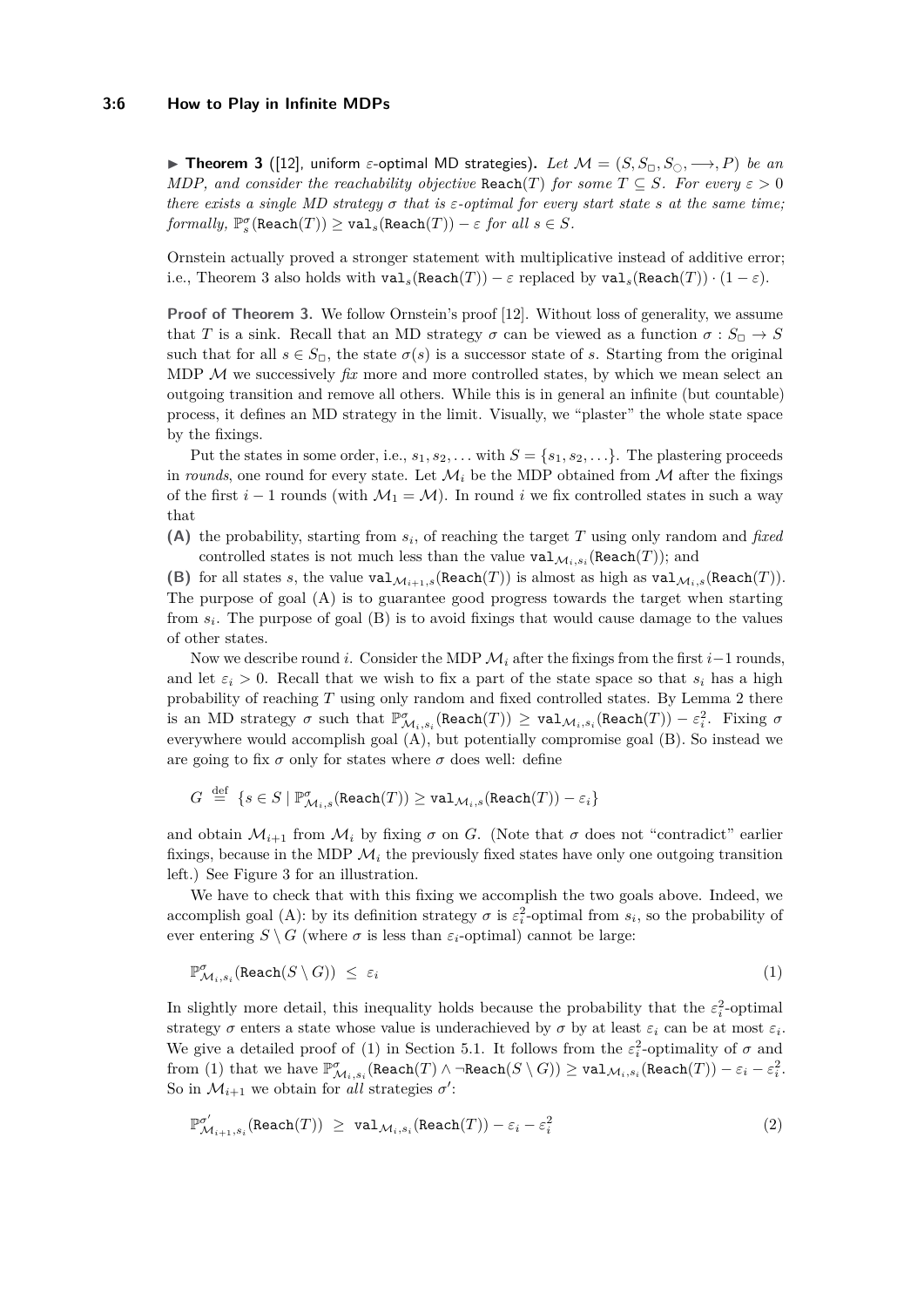#### **3:6 How to Play in Infinite MDPs**

**► Theorem 3** ([\[12\]](#page-17-5), uniform  $\varepsilon$ -optimal MD strategies). Let  $\mathcal{M} = (S, S_{\square}, S_{\square}, \longrightarrow, P)$  be an *MDP, and consider the reachability objective* Reach(*T*) *for some*  $T \subseteq S$ *. For every*  $\varepsilon > 0$ *there exists a single MD strategy*  $\sigma$  *that is*  $\varepsilon$ -*optimal for every start state*  $s$  *at the same time;*  $formally, \, \mathbb{P}_{s}^{\sigma}(\texttt{Reach}(T)) \geq \texttt{val}_{s}(\texttt{Reach}(T)) - \varepsilon \textit{ for all } s \in S.$ 

Ornstein actually proved a stronger statement with multiplicative instead of additive error; i.e., Theorem [3](#page-4-0) also holds with  $\text{val}_s(\text{Reach}(T)) - \varepsilon$  replaced by  $\text{val}_s(\text{Reach}(T)) \cdot (1 - \varepsilon)$ .

**Proof of Theorem [3.](#page-4-0)** We follow Ornstein's proof [\[12\]](#page-17-5). Without loss of generality, we assume that *T* is a sink. Recall that an MD strategy  $\sigma$  can be viewed as a function  $\sigma : S_{\Box} \to S$ such that for all  $s \in S_{\Box}$ , the state  $\sigma(s)$  is a successor state of *s*. Starting from the original MDP  $M$  we successively  $fix$  more and more controlled states, by which we mean select an outgoing transition and remove all others. While this is in general an infinite (but countable) process, it defines an MD strategy in the limit. Visually, we "plaster" the whole state space by the fixings.

Put the states in some order, i.e.,  $s_1, s_2, \ldots$  with  $S = \{s_1, s_2, \ldots\}$ . The plastering proceeds in *rounds*, one round for every state. Let  $\mathcal{M}_i$  be the MDP obtained from  $\mathcal M$  after the fixings of the first  $i - 1$  rounds (with  $\mathcal{M}_1 = \mathcal{M}$ ). In round  $i$  we fix controlled states in such a way that

**(A)** the probability, starting from *s<sup>i</sup>* , of reaching the target *T* using only random and *fixed* controlled states is not much less than the value  $\text{val}_{\mathcal{M}_i,s_i}(\text{Reach}(T))$ ; and

**(B)** for all states *s*, the value  $\text{val}_{\mathcal{M}_{i+1},s}(\text{Reach}(T))$  is almost as high as  $\text{val}_{\mathcal{M}_{i},s}(\text{Reach}(T))$ . The purpose of goal (A) is to guarantee good progress towards the target when starting from  $s_i$ . The purpose of goal  $(B)$  is to avoid fixings that would cause damage to the values of other states.

Now we describe round *i*. Consider the MDP  $\mathcal{M}_i$  after the fixings from the first *i*−1 rounds, and let  $\varepsilon_i > 0$ . Recall that we wish to fix a part of the state space so that  $s_i$  has a high probability of reaching *T* using only random and fixed controlled states. By Lemma [2](#page-3-2) there is an MD strategy  $\sigma$  such that  $\mathbb{P}^{\sigma}_{\mathcal{M}_i,s_i}(\text{Reach}(T)) \ge \text{val}_{\mathcal{M}_i,s_i}(\text{Reach}(T)) - \varepsilon_i^2$ . Fixing  $\sigma$ everywhere would accomplish goal (A), but potentially compromise goal (B). So instead we are going to fix  $\sigma$  only for states where  $\sigma$  does well: define

$$
G \ \stackrel{\mathrm{def}}{\, = \,} \ \{ s \in S \mid \mathbb{P}^{\sigma}_{\mathcal{M}_{i},s}(\mathrm{Reach}(T)) \geq \mathtt{val}_{\mathcal{M}_{i},s}(\mathrm{Reach}(T)) - \varepsilon_{i} \}
$$

and obtain  $\mathcal{M}_{i+1}$  from  $\mathcal{M}_i$  by fixing  $\sigma$  on *G*. (Note that  $\sigma$  does not "contradict" earlier fixings, because in the MDP  $\mathcal{M}_i$  the previously fixed states have only one outgoing transition left.) See Figure [3](#page-6-0) for an illustration.

We have to check that with this fixing we accomplish the two goals above. Indeed, we accomplish goal (A): by its definition strategy  $\sigma$  is  $\varepsilon_i^2$ -optimal from  $s_i$ , so the probability of ever entering  $S \setminus G$  (where  $\sigma$  is less than  $\varepsilon_i$ -optimal) cannot be large:

<span id="page-5-0"></span>
$$
\mathbb{P}^{\sigma}_{\mathcal{M}_i,s_i}(\text{Reach}(S \setminus G)) \leq \varepsilon_i \tag{1}
$$

In slightly more detail, this inequality holds because the probability that the  $\varepsilon_i^2$ -optimal strategy  $\sigma$  enters a state whose value is underachieved by  $\sigma$  by at least  $\varepsilon_i$  can be at most  $\varepsilon_i$ . We give a detailed proof of [\(1\)](#page-5-0) in Section [5.1.](#page-14-0) It follows from the  $\varepsilon_i^2$ -optimality of  $\sigma$  and  $\text{from (1) that we have } \mathbb{P}^{\sigma}_{\mathcal{M}_i,s_i}(\text{Reach}(T) \wedge \neg \text{Reach}(S \setminus G)) \geq \text{val}_{\mathcal{M}_i,s_i}(\text{Reach}(T)) - \varepsilon_i - \varepsilon_i^2.$  $\text{from (1) that we have } \mathbb{P}^{\sigma}_{\mathcal{M}_i,s_i}(\text{Reach}(T) \wedge \neg \text{Reach}(S \setminus G)) \geq \text{val}_{\mathcal{M}_i,s_i}(\text{Reach}(T)) - \varepsilon_i - \varepsilon_i^2.$  $\text{from (1) that we have } \mathbb{P}^{\sigma}_{\mathcal{M}_i,s_i}(\text{Reach}(T) \wedge \neg \text{Reach}(S \setminus G)) \geq \text{val}_{\mathcal{M}_i,s_i}(\text{Reach}(T)) - \varepsilon_i - \varepsilon_i^2.$ So in  $\mathcal{M}_{i+1}$  we obtain for *all* strategies  $\sigma'$ :

<span id="page-5-1"></span>
$$
\mathbb{P}^{\sigma'}_{\mathcal{M}_{i+1}, s_i}(\text{Reach}(T)) \geq \text{val}_{\mathcal{M}_i, s_i}(\text{Reach}(T)) - \varepsilon_i - \varepsilon_i^2 \tag{2}
$$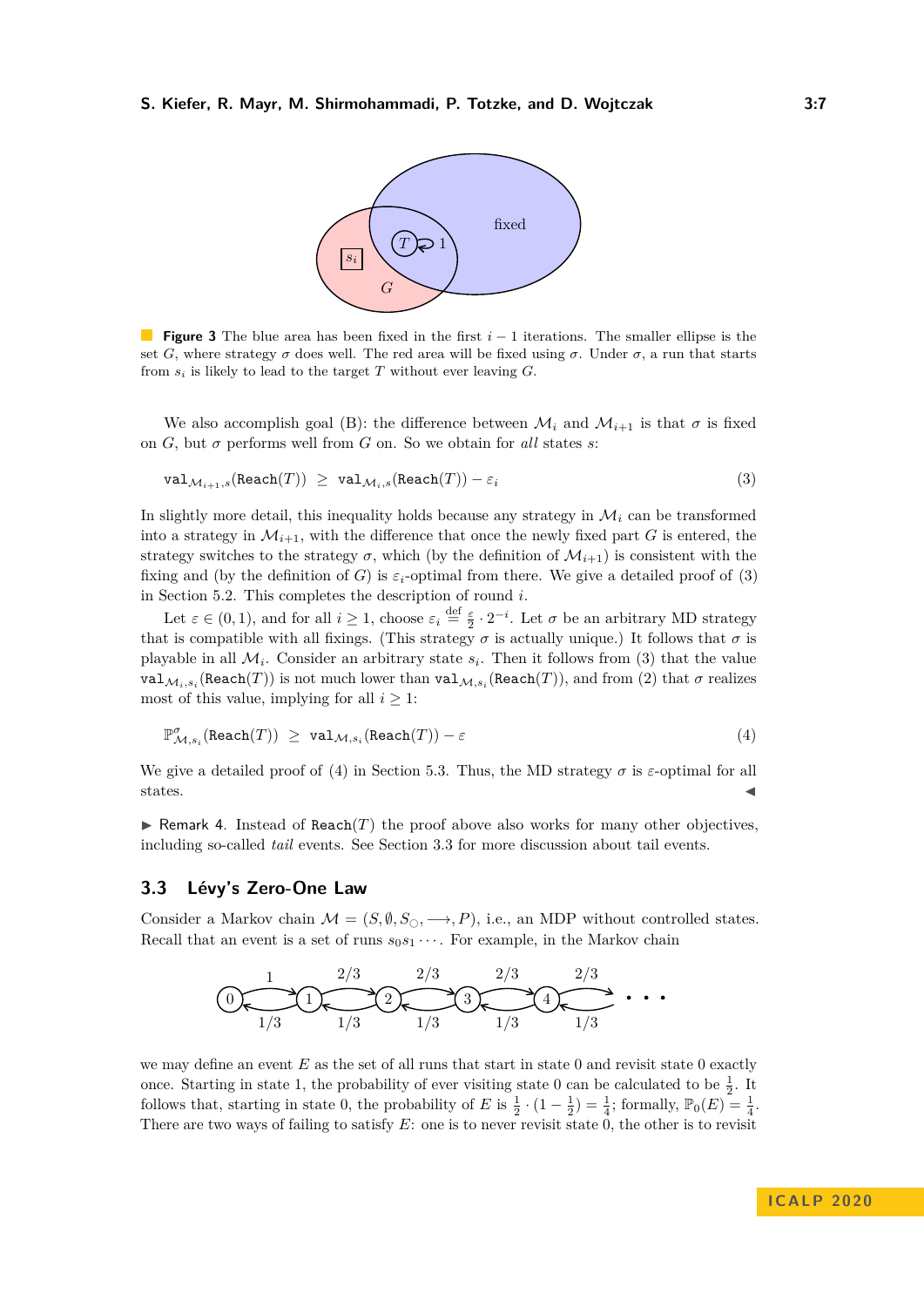<span id="page-6-1"></span><span id="page-6-0"></span>

**Figure 3** The blue area has been fixed in the first *i* − 1 iterations. The smaller ellipse is the set *G*, where strategy  $\sigma$  does well. The red area will be fixed using  $\sigma$ . Under  $\sigma$ , a run that starts from  $s_i$  is likely to lead to the target  $T$  without ever leaving  $G$ .

We also accomplish goal (B): the difference between  $\mathcal{M}_i$  and  $\mathcal{M}_{i+1}$  is that  $\sigma$  is fixed on *G*, but  $\sigma$  performs well from *G* on. So we obtain for *all* states *s*:

$$
\texttt{val}_{\mathcal{M}_{i+1},s}(\texttt{Reach}(T)) \geq \texttt{val}_{\mathcal{M}_i,s}(\texttt{Reach}(T)) - \varepsilon_i \tag{3}
$$

In slightly more detail, this inequality holds because any strategy in  $\mathcal{M}_i$  can be transformed into a strategy in  $\mathcal{M}_{i+1}$ , with the difference that once the newly fixed part *G* is entered, the strategy switches to the strategy  $\sigma$ , which (by the definition of  $\mathcal{M}_{i+1}$ ) is consistent with the fixing and (by the definition of *G*) is  $\varepsilon_i$ -optimal from there. We give a detailed proof of [\(3\)](#page-6-1) in Section [5.2.](#page-15-0) This completes the description of round *i*.

Let  $\varepsilon \in (0, 1)$ , and for all  $i \geq 1$ , choose  $\varepsilon_i \stackrel{\text{def}}{=} \frac{\varepsilon}{2} \cdot 2^{-i}$ . Let  $\sigma$  be an arbitrary MD strategy that is compatible with all fixings. (This strategy  $\sigma$  is actually unique.) It follows that  $\sigma$  is playable in all  $\mathcal{M}_i$ . Consider an arbitrary state  $s_i$ . Then it follows from [\(3\)](#page-6-1) that the value  $\texttt{val}_{\mathcal{M}_i,s_i}(\texttt{Reach}(T))$  is not much lower than  $\texttt{val}_{\mathcal{M},s_i}(\texttt{Reach}(T)),$  and from [\(2\)](#page-5-1) that  $\sigma$  realizes most of this value, implying for all  $i \geq 1$ :

<span id="page-6-2"></span>
$$
\mathbb{P}^{\sigma}_{\mathcal{M},s_i}(\text{Reach}(T)) \geq \text{val}_{\mathcal{M},s_i}(\text{Reach}(T)) - \varepsilon \tag{4}
$$

We give a detailed proof of [\(4\)](#page-6-2) in Section [5.3.](#page-16-11) Thus, the MD strategy  $\sigma$  is  $\varepsilon$ -optimal for all states.  $\blacksquare$ 

**In Remark 4.** Instead of Reach(*T*) the proof above also works for many other objectives, including so-called *tail* events. See Section [3.3](#page-6-3) for more discussion about tail events.

#### <span id="page-6-3"></span>**3.3 Lévy's Zero-One Law**

Consider a Markov chain  $\mathcal{M} = (S, \emptyset, S_{\bigcirc}, \longrightarrow, P)$ , i.e., an MDP without controlled states. Recall that an event is a set of runs  $s_0s_1 \cdots$ . For example, in the Markov chain

<sup>0</sup> <sup>1</sup> <sup>2</sup> <sup>3</sup> <sup>4</sup> · · · 1 2*/*3 2*/*3 2*/*3 2*/*3 1*/*3 1*/*3 1*/*3 1*/*3 1*/*3

we may define an event E as the set of all runs that start in state 0 and revisit state 0 exactly once. Starting in state 1, the probability of ever visiting state 0 can be calculated to be  $\frac{1}{2}$ . It follows that, starting in state 0, the probability of *E* is  $\frac{1}{2} \cdot (1 - \frac{1}{2}) = \frac{1}{4}$ ; formally,  $\mathbb{P}_0(E) = \frac{1}{4}$ . There are two ways of failing to satisfy *E*: one is to never revisit state 0, the other is to revisit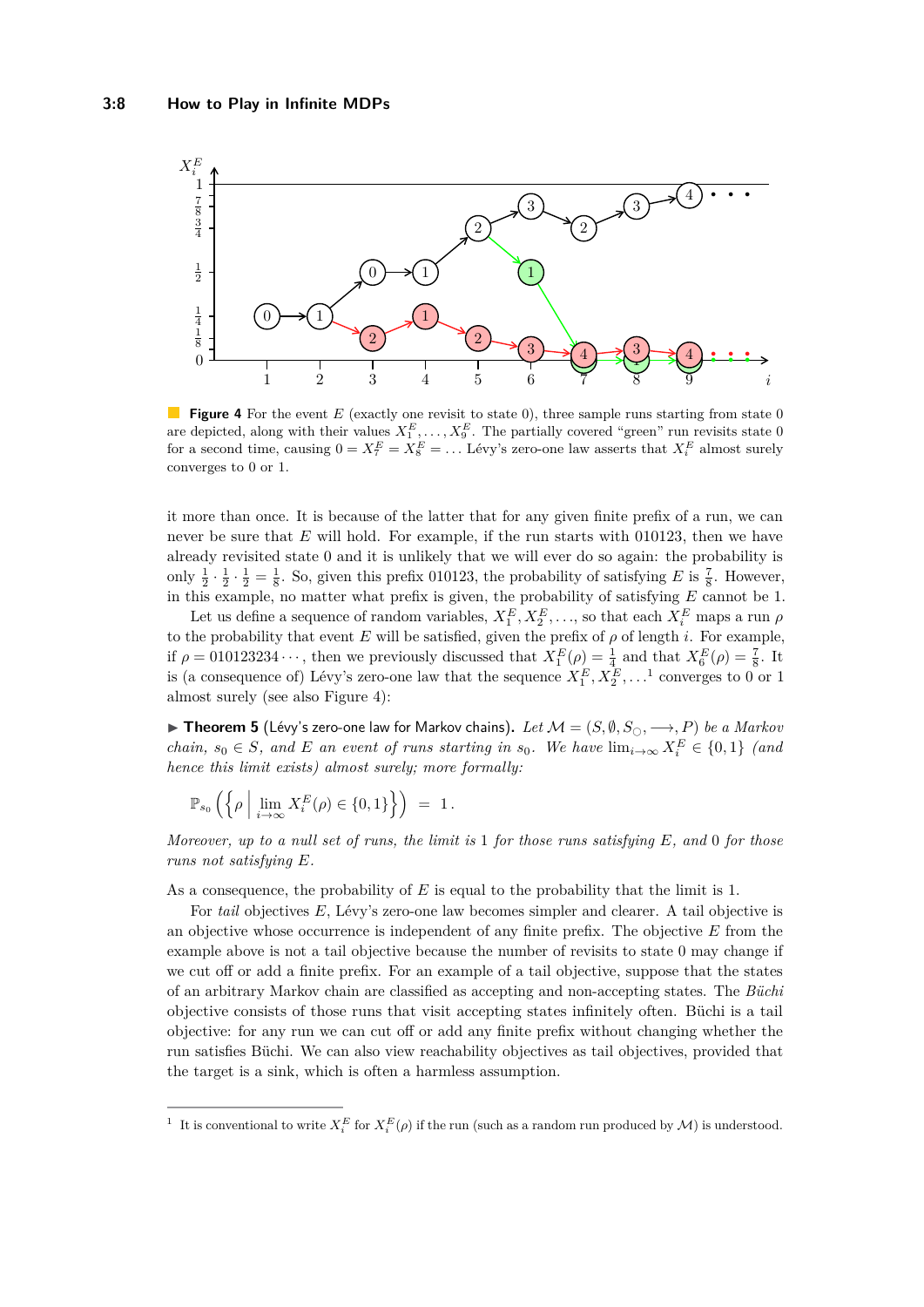<span id="page-7-1"></span>

**Figure 4** For the event *E* (exactly one revisit to state 0), three sample runs starting from state 0 are depicted, along with their values  $X_1^E, \ldots, X_9^E$ . The partially covered "green" run revisits state 0 for a second time, causing  $0 = X_7^E = X_8^E = \dots$  Lévy's zero-one law asserts that  $X_i^E$  almost surely converges to 0 or 1.

it more than once. It is because of the latter that for any given finite prefix of a run, we can never be sure that *E* will hold. For example, if the run starts with 010123, then we have already revisited state 0 and it is unlikely that we will ever do so again: the probability is only  $\frac{1}{2} \cdot \frac{1}{2} \cdot \frac{1}{2} = \frac{1}{8}$ . So, given this prefix 010123, the probability of satisfying *E* is  $\frac{7}{8}$ . However, in this example, no matter what prefix is given, the probability of satisfying *E* cannot be 1.

Let us define a sequence of random variables,  $X_1^E, X_2^E, \ldots$ , so that each  $X_i^E$  maps a run  $\rho$ to the probability that event  $E$  will be satisfied, given the prefix of  $\rho$  of length  $i$ . For example, if  $\rho = 010123234 \cdots$ , then we previously discussed that  $X_1^E(\rho) = \frac{1}{4}$  and that  $X_6^E(\rho) = \frac{7}{8}$ . It is (a consequence of) Lévy's zero-one law that the sequence  $X_1^E, X_2^E, \ldots$  $X_1^E, X_2^E, \ldots$  $X_1^E, X_2^E, \ldots$ <sup>1</sup> converges to 0 or 1 almost surely (see also Figure [4\)](#page-7-1):

▶ Theorem 5 (Lévy's zero-one law for Markov chains). Let  $M = (S, \emptyset, S_{\cap}, \longrightarrow, P)$  be a Markov *chain,*  $s_0 \in S$ *, and E an event of runs starting in*  $s_0$ *. We have*  $\lim_{i\to\infty} X_i^E \in \{0,1\}$  *(and hence this limit exists) almost surely; more formally:*

$$
\mathbb{P}_{s_0}\left(\left\{\rho \; \Big|\; \lim_{i\to\infty} X_i^E(\rho)\in\{0,1\}\right\}\right) \;=\; 1\,.
$$

*Moreover, up to a null set of runs, the limit is* 1 *for those runs satisfying E, and* 0 *for those runs not satisfying E.*

As a consequence, the probability of *E* is equal to the probability that the limit is 1.

For *tail* objectives *E*, Lévy's zero-one law becomes simpler and clearer. A tail objective is an objective whose occurrence is independent of any finite prefix. The objective *E* from the example above is not a tail objective because the number of revisits to state 0 may change if we cut off or add a finite prefix. For an example of a tail objective, suppose that the states of an arbitrary Markov chain are classified as accepting and non-accepting states. The *Büchi* objective consists of those runs that visit accepting states infinitely often. Büchi is a tail objective: for any run we can cut off or add any finite prefix without changing whether the run satisfies Büchi. We can also view reachability objectives as tail objectives, provided that the target is a sink, which is often a harmless assumption.

<span id="page-7-0"></span><sup>&</sup>lt;sup>1</sup> It is conventional to write  $X_i^E$  for  $X_i^E(\rho)$  if the run (such as a random run produced by  $\mathcal M$ ) is understood.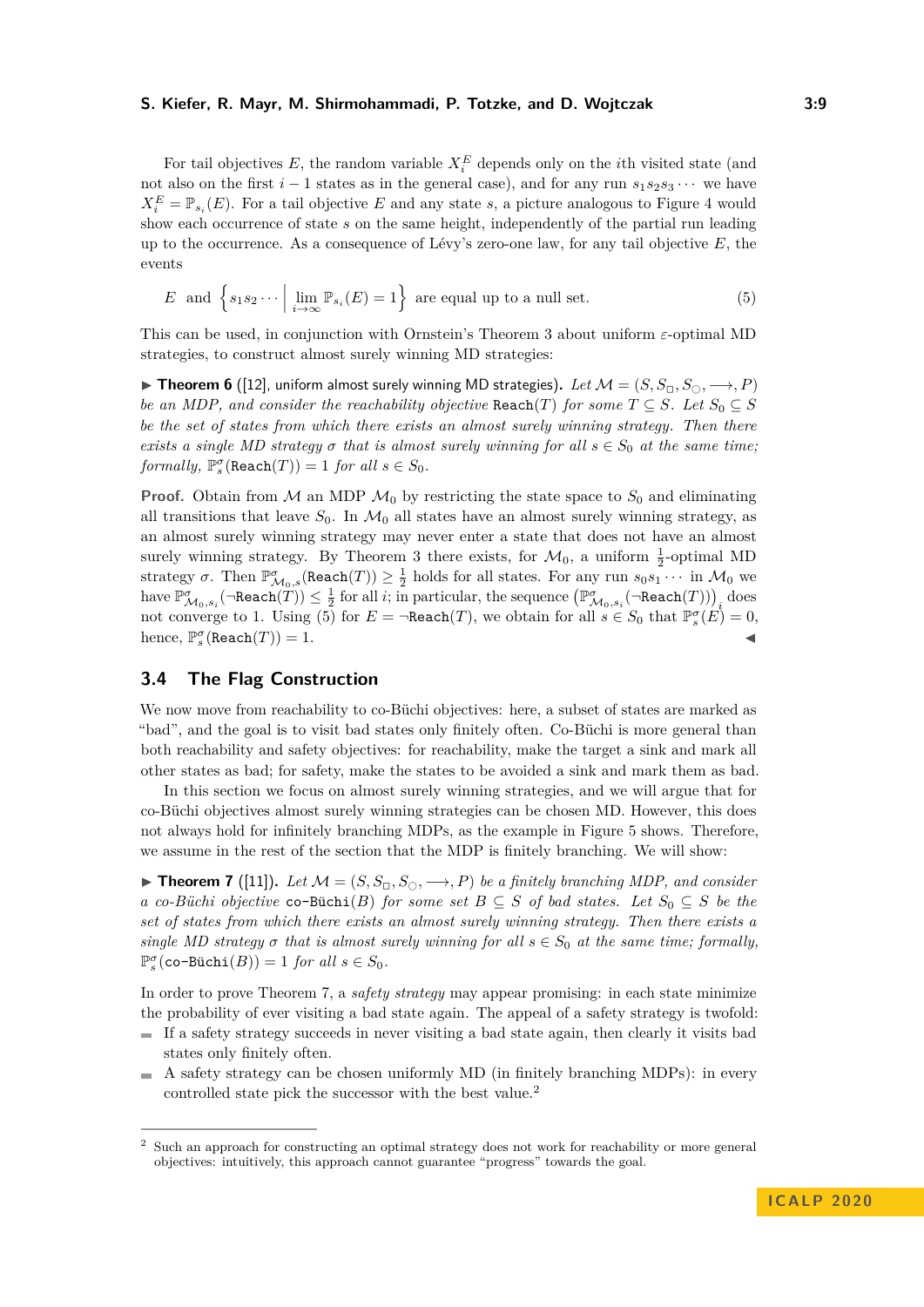For tail objectives  $E$ , the random variable  $X_i^E$  depends only on the *i*<sup>th</sup> visited state (and not also on the first  $i - 1$  states as in the general case), and for any run  $s_1 s_2 s_3 \cdots$  we have  $X_i^E = \mathbb{P}_{s_i}(E)$ . For a tail objective *E* and any state *s*, a picture analogous to Figure [4](#page-7-1) would show each occurrence of state *s* on the same height, independently of the partial run leading up to the occurrence. As a consequence of Lévy's zero-one law, for any tail objective *E*, the events

<span id="page-8-0"></span>
$$
E \text{ and } \left\{ s_1 s_2 \cdots \mid \lim_{i \to \infty} \mathbb{P}_{s_i}(E) = 1 \right\} \text{ are equal up to a null set.}
$$
 (5)

This can be used, in conjunction with Ornstein's Theorem [3](#page-4-0) about uniform *ε*-optimal MD strategies, to construct almost surely winning MD strategies:

<span id="page-8-3"></span>**► Theorem 6** ([\[12\]](#page-17-5), uniform almost surely winning MD strategies). Let  $M = (S, S_{\Box}, S_{\Box}, \longrightarrow, P)$ *be an MDP, and consider the reachability objective*  $\text{Reach}(T)$  *for some*  $T \subseteq S$ *. Let*  $S_0 \subseteq S$ *be the set of states from which there exists an almost surely winning strategy. Then there exists a single MD strategy*  $\sigma$  *that is almost surely winning for all*  $s \in S_0$  *at the same time;*  $formally, \mathbb{P}_{s}^{\sigma}(\texttt{Reach}(T)) = 1 \text{ for all } s \in S_0.$ 

**Proof.** Obtain from  $M$  an MDP  $M_0$  by restricting the state space to  $S_0$  and eliminating all transitions that leave  $S_0$ . In  $\mathcal{M}_0$  all states have an almost surely winning strategy, as an almost surely winning strategy may never enter a state that does not have an almost surely winning strategy. By Theorem [3](#page-4-0) there exists, for  $\mathcal{M}_0$ , a uniform  $\frac{1}{2}$ -optimal MD strategy  $\sigma$ . Then  $\mathbb{P}^{\sigma}_{\mathcal{M}_0,s}(\text{Reach}(T)) \geq \frac{1}{2}$  holds for all states. For any run  $s_0s_1 \cdots$  in  $\mathcal{M}_0$  we  $\limsup_{\mathcal{M}_{0},s_{i}}(\neg \texttt{Reach}(\widetilde{T})) \leq \frac{1}{2}$  for all *i*; in particular, the sequence  $\left(\mathbb{P}^{\sigma}_{\mathcal{M}_{0},s_{i}}(\neg \texttt{Reach}(T))\right)_{i}$  does not converge to 1. Using  $(5)$  for  $E = \neg \text{Reach}(T)$ , we obtain for all  $s \in S_0$  that  $\mathbb{P}_s^{\sigma}(E) = 0$ , hence,  $\mathbb{P}_{s}^{\sigma}(\texttt{Reach}(T)) = 1.$ 

## **3.4 The Flag Construction**

We now move from reachability to co-Büchi objectives: here, a subset of states are marked as "bad", and the goal is to visit bad states only finitely often. Co-Büchi is more general than both reachability and safety objectives: for reachability, make the target a sink and mark all other states as bad; for safety, make the states to be avoided a sink and mark them as bad.

In this section we focus on almost surely winning strategies, and we will argue that for co-Büchi objectives almost surely winning strategies can be chosen MD. However, this does not always hold for infinitely branching MDPs, as the example in Figure [5](#page-9-0) shows. Therefore, we assume in the rest of the section that the MDP is finitely branching. We will show:

<span id="page-8-1"></span>▶ **Theorem 7** ([\[11\]](#page-16-8)). Let  $M = (S, S_{\Box}, S_{\Box}, \rightarrow, P)$  be a finitely branching MDP, and consider *a co*-*Büchi objective* **co**-Büchi(*B*) *for some set B* ⊆ *S of bad states.* Let  $S_0$  ⊆ *S be the set of states from which there exists an almost surely winning strategy. Then there exists a single MD strategy*  $\sigma$  *that is almost surely winning for all*  $s \in S_0$  *at the same time; formally,*  $\mathbb{P}_{s}^{\sigma}(\textsf{co-Büchi}(B)) = 1$  *for all*  $s \in S_0$ .

In order to prove Theorem [7,](#page-8-1) a *safety strategy* may appear promising: in each state minimize the probability of ever visiting a bad state again. The appeal of a safety strategy is twofold:

- $\blacksquare$  If a safety strategy succeeds in never visiting a bad state again, then clearly it visits bad states only finitely often.
- A safety strategy can be chosen uniformly MD (in finitely branching MDPs): in every  $\sim$ controlled state pick the successor with the best value.<sup>[2](#page-8-2)</sup>

<span id="page-8-2"></span><sup>2</sup> Such an approach for constructing an optimal strategy does not work for reachability or more general objectives: intuitively, this approach cannot guarantee "progress" towards the goal.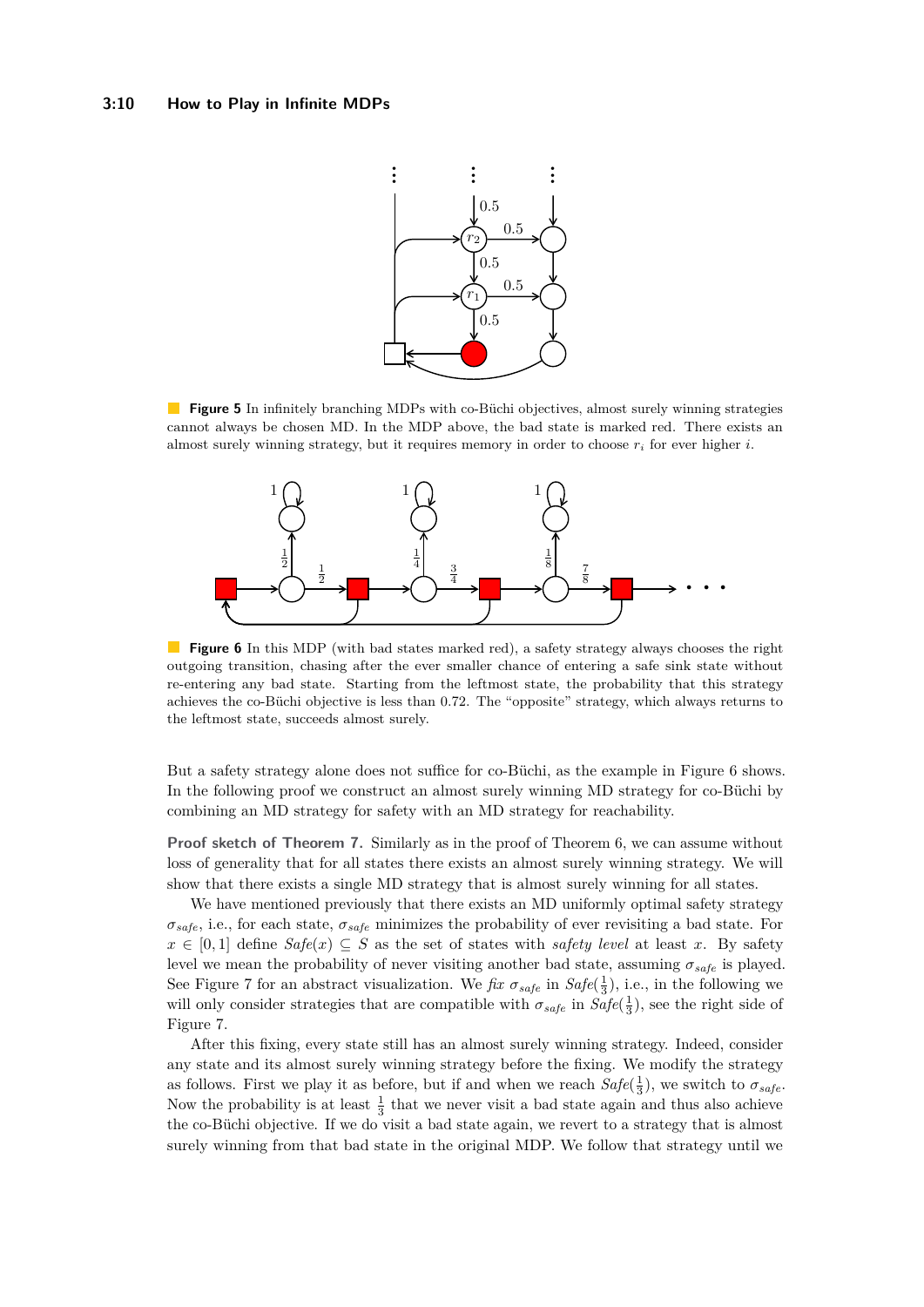<span id="page-9-0"></span>

**Figure 5** In infinitely branching MDPs with co-Büchi objectives, almost surely winning strategies cannot always be chosen MD. In the MDP above, the bad state is marked red. There exists an almost surely winning strategy, but it requires memory in order to choose  $r_i$  for ever higher  $i$ .

<span id="page-9-1"></span>

**Figure 6** In this MDP (with bad states marked red), a safety strategy always chooses the right outgoing transition, chasing after the ever smaller chance of entering a safe sink state without re-entering any bad state. Starting from the leftmost state, the probability that this strategy achieves the co-Büchi objective is less than 0*.*72. The "opposite" strategy, which always returns to the leftmost state, succeeds almost surely.

But a safety strategy alone does not suffice for co-Büchi, as the example in Figure [6](#page-9-1) shows. In the following proof we construct an almost surely winning MD strategy for co-Büchi by combining an MD strategy for safety with an MD strategy for reachability.

**Proof sketch of Theorem [7.](#page-8-1)** Similarly as in the proof of Theorem [6,](#page-8-3) we can assume without loss of generality that for all states there exists an almost surely winning strategy. We will show that there exists a single MD strategy that is almost surely winning for all states.

We have mentioned previously that there exists an MD uniformly optimal safety strategy *σsafe*, i.e., for each state, *σsafe* minimizes the probability of ever revisiting a bad state. For *x* ∈ [0, 1] define *Safe*(*x*) ⊆ *S* as the set of states with *safety level* at least *x*. By safety level we mean the probability of never visiting another bad state, assuming  $\sigma_{safe}$  is played. See Figure [7](#page-10-0) for an abstract visualization. We *fix*  $\sigma_{safe}$  in  $Safe(\frac{1}{3})$ , i.e., in the following we will only consider strategies that are compatible with  $\sigma_{safe}$  in  $Safe(\frac{1}{3})$ , see the right side of Figure [7.](#page-10-0)

After this fixing, every state still has an almost surely winning strategy. Indeed, consider any state and its almost surely winning strategy before the fixing. We modify the strategy as follows. First we play it as before, but if and when we reach  $Safe(\frac{1}{3})$ , we switch to  $\sigma_{safe}$ . Now the probability is at least  $\frac{1}{3}$  that we never visit a bad state again and thus also achieve the co-Büchi objective. If we do visit a bad state again, we revert to a strategy that is almost surely winning from that bad state in the original MDP. We follow that strategy until we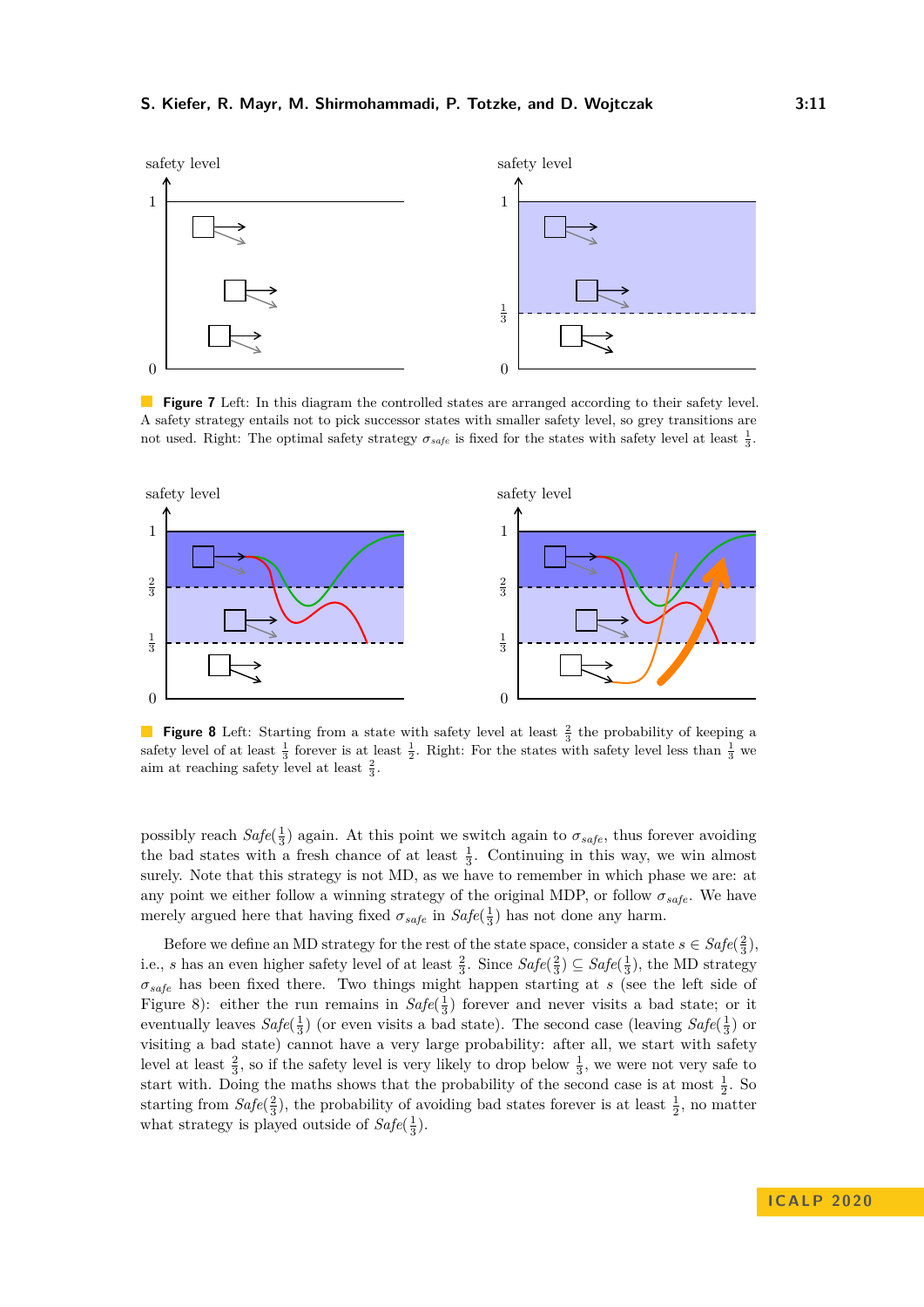<span id="page-10-0"></span>

**Figure 7** Left: In this diagram the controlled states are arranged according to their safety level. A safety strategy entails not to pick successor states with smaller safety level, so grey transitions are not used. Right: The optimal safety strategy  $\sigma_{safe}$  is fixed for the states with safety level at least  $\frac{1}{3}$ .

<span id="page-10-1"></span>

**Figure 8** Left: Starting from a state with safety level at least  $\frac{2}{3}$  the probability of keeping a safety level of at least  $\frac{1}{3}$  forever is at least  $\frac{1}{2}$ . Right: For the states with safety level less than  $\frac{1}{3}$  we aim at reaching safety level at least  $\frac{2}{3}$ .

possibly reach  $Safe(\frac{1}{3})$  again. At this point we switch again to  $\sigma_{safe}$ , thus forever avoiding the bad states with a fresh chance of at least  $\frac{1}{3}$ . Continuing in this way, we win almost surely. Note that this strategy is not MD, as we have to remember in which phase we are: at any point we either follow a winning strategy of the original MDP, or follow  $\sigma_{safe}$ . We have merely argued here that having fixed  $\sigma_{safe}$  in  $Safe(\frac{1}{3})$  has not done any harm.

Before we define an MD strategy for the rest of the state space, consider a state  $s \in \text{Safe}(\frac{2}{3})$ , i.e., *s* has an even higher safety level of at least  $\frac{2}{3}$ . Since  $Safe(\frac{2}{3}) \subseteq Safe(\frac{1}{3})$ , the MD strategy *σsafe* has been fixed there. Two things might happen starting at *s* (see the left side of Figure [8\)](#page-10-1): either the run remains in  $Safe(\frac{1}{3})$  forever and never visits a bad state; or it eventually leaves  $Safe(\frac{1}{3})$  (or even visits a bad state). The second case (leaving  $Safe(\frac{1}{3})$  or visiting a bad state) cannot have a very large probability: after all, we start with safety level at least  $\frac{2}{3}$ , so if the safety level is very likely to drop below  $\frac{1}{3}$ , we were not very safe to start with. Doing the maths shows that the probability of the second case is at most  $\frac{1}{2}$ . So starting from  $Safe(\frac{2}{3})$ , the probability of avoiding bad states forever is at least  $\frac{1}{2}$ , no matter what strategy is played outside of  $Safe(\frac{1}{3})$ .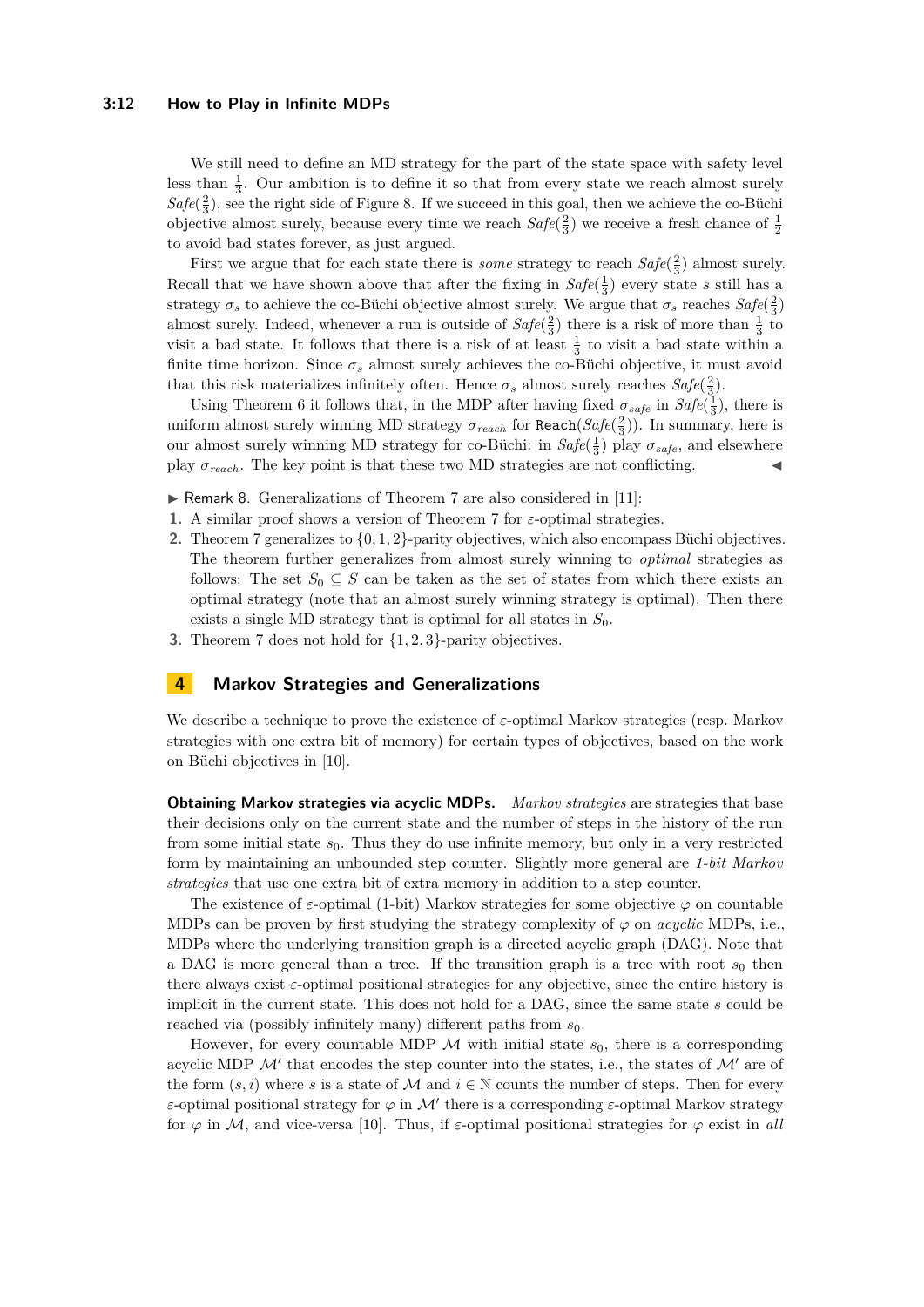#### **3:12 How to Play in Infinite MDPs**

We still need to define an MD strategy for the part of the state space with safety level less than  $\frac{1}{3}$ . Our ambition is to define it so that from every state we reach almost surely  $Safe(\frac{2}{3})$ , see the right side of Figure [8.](#page-10-1) If we succeed in this goal, then we achieve the co-Büchi objective almost surely, because every time we reach  $Safe(\frac{2}{3})$  we receive a fresh chance of  $\frac{1}{2}$ to avoid bad states forever, as just argued.

First we argue that for each state there is *some* strategy to reach  $Safe(\frac{2}{3})$  almost surely. Recall that we have shown above that after the fixing in  $Safe(\frac{1}{3})$  every state *s* still has a strategy  $\sigma_s$  to achieve the co-Büchi objective almost surely. We argue that  $\sigma_s$  reaches  $Safe(\frac{2}{3})$ almost surely. Indeed, whenever a run is outside of  $Safe(\frac{2}{3})$  there is a risk of more than  $\frac{1}{3}$  to visit a bad state. It follows that there is a risk of at least  $\frac{1}{3}$  to visit a bad state within a finite time horizon. Since  $\sigma_s$  almost surely achieves the co-Büchi objective, it must avoid that this risk materializes infinitely often. Hence  $\sigma_s$  almost surely reaches  $Safe(\frac{2}{3})$ .

Using Theorem [6](#page-8-3) it follows that, in the MDP after having fixed  $\sigma_{safe}$  in  $Safe(\frac{1}{3})$ , there is uniform almost surely winning MD strategy  $\sigma_{reach}$  for  $\texttt{Reach}(Safe(\frac{2}{3}))$ . In summary, here is our almost surely winning MD strategy for co-Büchi: in  $Safe(\frac{1}{3})$  play  $\sigma_{safe}$ , and elsewhere play  $\sigma_{reach}$ . The key point is that these two MD strategies are not conflicting.

 $\triangleright$  Remark 8. Generalizations of Theorem [7](#page-8-1) are also considered in [\[11\]](#page-16-8):

- **1.** A similar proof shows a version of Theorem [7](#page-8-1) for *ε*-optimal strategies.
- **2.** Theorem [7](#page-8-1) generalizes to {0*,* 1*,* 2}-parity objectives, which also encompass Büchi objectives. The theorem further generalizes from almost surely winning to *optimal* strategies as follows: The set  $S_0 \subseteq S$  can be taken as the set of states from which there exists an optimal strategy (note that an almost surely winning strategy is optimal). Then there exists a single MD strategy that is optimal for all states in *S*0.
- **3.** Theorem [7](#page-8-1) does not hold for {1*,* 2*,* 3}-parity objectives.

## **4 Markov Strategies and Generalizations**

We describe a technique to prove the existence of *ε*-optimal Markov strategies (resp. Markov strategies with one extra bit of memory) for certain types of objectives, based on the work on Büchi objectives in [\[10\]](#page-16-10).

**Obtaining Markov strategies via acyclic MDPs.** *Markov strategies* are strategies that base their decisions only on the current state and the number of steps in the history of the run from some initial state  $s_0$ . Thus they do use infinite memory, but only in a very restricted form by maintaining an unbounded step counter. Slightly more general are *1-bit Markov strategies* that use one extra bit of extra memory in addition to a step counter.

The existence of  $\varepsilon$ -optimal (1-bit) Markov strategies for some objective  $\varphi$  on countable MDPs can be proven by first studying the strategy complexity of  $\varphi$  on *acyclic* MDPs, i.e., MDPs where the underlying transition graph is a directed acyclic graph (DAG). Note that a DAG is more general than a tree. If the transition graph is a tree with root  $s_0$  then there always exist *ε*-optimal positional strategies for any objective, since the entire history is implicit in the current state. This does not hold for a DAG, since the same state *s* could be reached via (possibly infinitely many) different paths from  $s_0$ .

However, for every countable MDP  $\mathcal M$  with initial state  $s_0$ , there is a corresponding acyclic MDP  $\mathcal{M}'$  that encodes the step counter into the states, i.e., the states of  $\mathcal{M}'$  are of the form  $(s, i)$  where *s* is a state of M and  $i \in \mathbb{N}$  counts the number of steps. Then for every *ε*-optimal positional strategy for  $\varphi$  in M' there is a corresponding *ε*-optimal Markov strategy for  $\varphi$  in M, and vice-versa [\[10\]](#page-16-10). Thus, if  $\varepsilon$ -optimal positional strategies for  $\varphi$  exist in all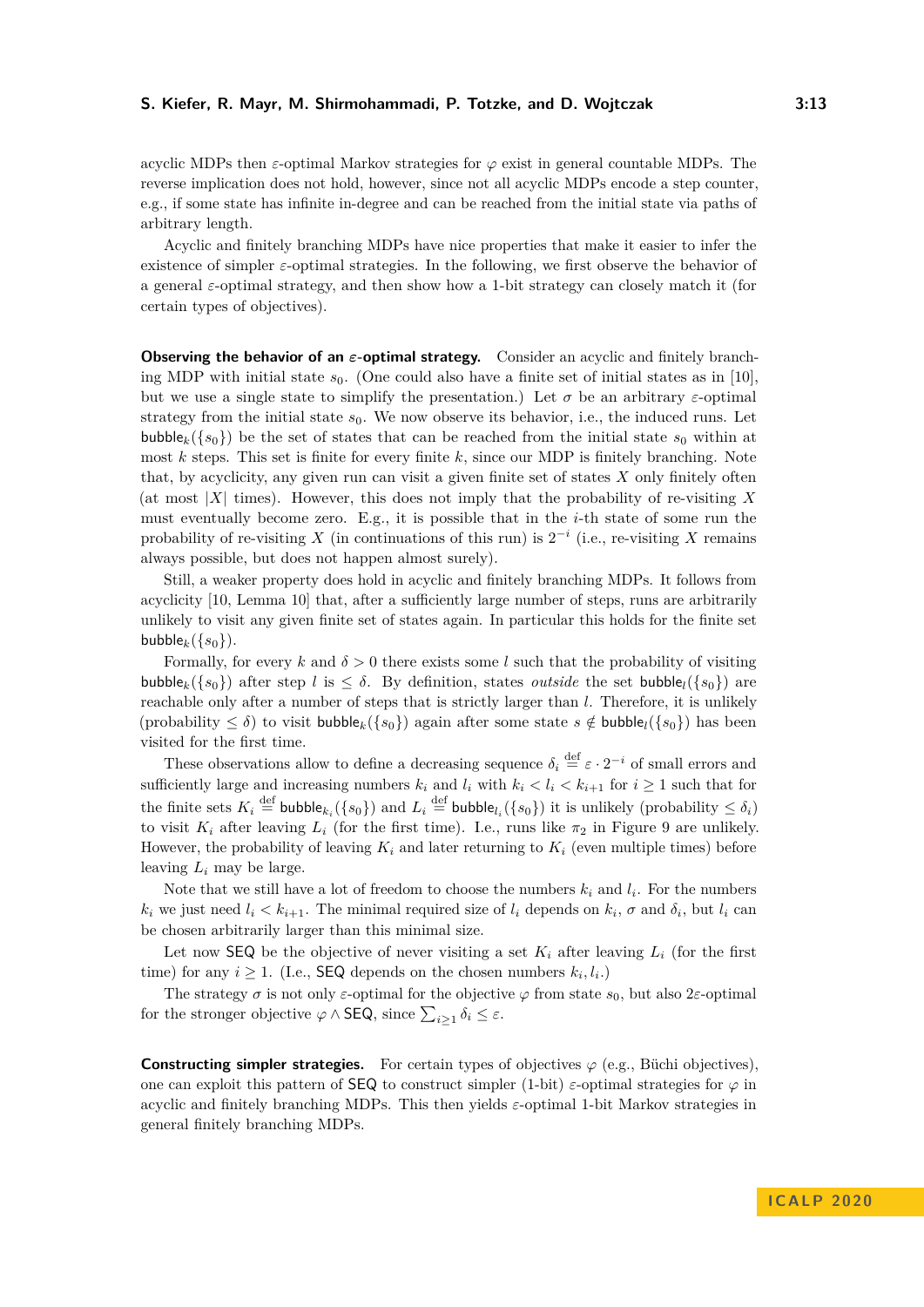acyclic MDPs then *ε*-optimal Markov strategies for  $\varphi$  exist in general countable MDPs. The reverse implication does not hold, however, since not all acyclic MDPs encode a step counter, e.g., if some state has infinite in-degree and can be reached from the initial state via paths of arbitrary length.

Acyclic and finitely branching MDPs have nice properties that make it easier to infer the existence of simpler  $\varepsilon$ -optimal strategies. In the following, we first observe the behavior of a general *ε*-optimal strategy, and then show how a 1-bit strategy can closely match it (for certain types of objectives).

**Observing the behavior of an** *ε***-optimal strategy.** Consider an acyclic and finitely branching MDP with initial state  $s_0$ . (One could also have a finite set of initial states as in [\[10\]](#page-16-10), but we use a single state to simplify the presentation.) Let  $\sigma$  be an arbitrary *ε*-optimal strategy from the initial state  $s_0$ . We now observe its behavior, i.e., the induced runs. Let bubble<sub>k</sub> $({s_0})$  be the set of states that can be reached from the initial state  $s_0$  within at most *k* steps. This set is finite for every finite *k*, since our MDP is finitely branching. Note that, by acyclicity, any given run can visit a given finite set of states *X* only finitely often (at most |*X*| times). However, this does not imply that the probability of re-visiting *X* must eventually become zero. E.g., it is possible that in the *i*-th state of some run the probability of re-visiting *X* (in continuations of this run) is  $2^{-i}$  (i.e., re-visiting *X* remains always possible, but does not happen almost surely).

Still, a weaker property does hold in acyclic and finitely branching MDPs. It follows from acyclicity [\[10,](#page-16-10) Lemma 10] that, after a sufficiently large number of steps, runs are arbitrarily unlikely to visit any given finite set of states again. In particular this holds for the finite set bubble<sub>k</sub>({ $s_0$ }).

Formally, for every  $k$  and  $\delta > 0$  there exists some *l* such that the probability of visiting bubble<sub>k</sub>({ $s_0$ }) after step *l* is  $\lt \delta$ . By definition, states *outside* the set bubble<sub>l</sub>({ $s_0$ }) are reachable only after a number of steps that is strictly larger than *l*. Therefore, it is unlikely (probability  $\leq \delta$ ) to visit bubble<sub>k</sub>({*s*<sub>0</sub>}) again after some state  $s \notin \text{bubble}_{l}(\{s_{0}\})$  has been visited for the first time.

These observations allow to define a decreasing sequence  $\delta_i \stackrel{\text{def}}{=} \varepsilon \cdot 2^{-i}$  of small errors and sufficiently large and increasing numbers  $k_i$  and  $l_i$  with  $k_i < l_i < k_{i+1}$  for  $i \ge 1$  such that for the finite sets  $K_i \stackrel{\text{def}}{=} \text{bubble}_{k_i}(\{s_0\})$  and  $L_i \stackrel{\text{def}}{=} \text{bubble}_{l_i}(\{s_0\})$  it is unlikely (probability  $\leq \delta_i$ ) to visit  $K_i$  after leaving  $L_i$  (for the first time). I.e., runs like  $\pi_2$  in Figure [9](#page-13-0) are unlikely. However, the probability of leaving  $K_i$  and later returning to  $K_i$  (even multiple times) before leaving *L<sup>i</sup>* may be large.

Note that we still have a lot of freedom to choose the numbers  $k_i$  and  $l_i$ . For the numbers *k*<sub>*i*</sub> we just need  $l_i < k_{i+1}$ . The minimal required size of  $l_i$  depends on  $k_i$ ,  $\sigma$  and  $\delta_i$ , but  $l_i$  can be chosen arbitrarily larger than this minimal size.

Let now SEQ be the objective of never visiting a set  $K_i$  after leaving  $L_i$  (for the first time) for any  $i \geq 1$ . (I.e., **SEQ** depends on the chosen numbers  $k_i, l_i$ .)

The strategy  $\sigma$  is not only *ε*-optimal for the objective  $\varphi$  from state  $s_0$ , but also 2*ε*-optimal for the stronger objective  $\varphi \wedge \text{SEQ}$ , since  $\sum_{i \geq 1} \delta_i \leq \varepsilon$ .

**Constructing simpler strategies.** For certain types of objectives  $\varphi$  (e.g., Büchi objectives), one can exploit this pattern of **SEQ** to construct simpler (1-bit)  $\varepsilon$ -optimal strategies for  $\varphi$  in acyclic and finitely branching MDPs. This then yields *ε*-optimal 1-bit Markov strategies in general finitely branching MDPs.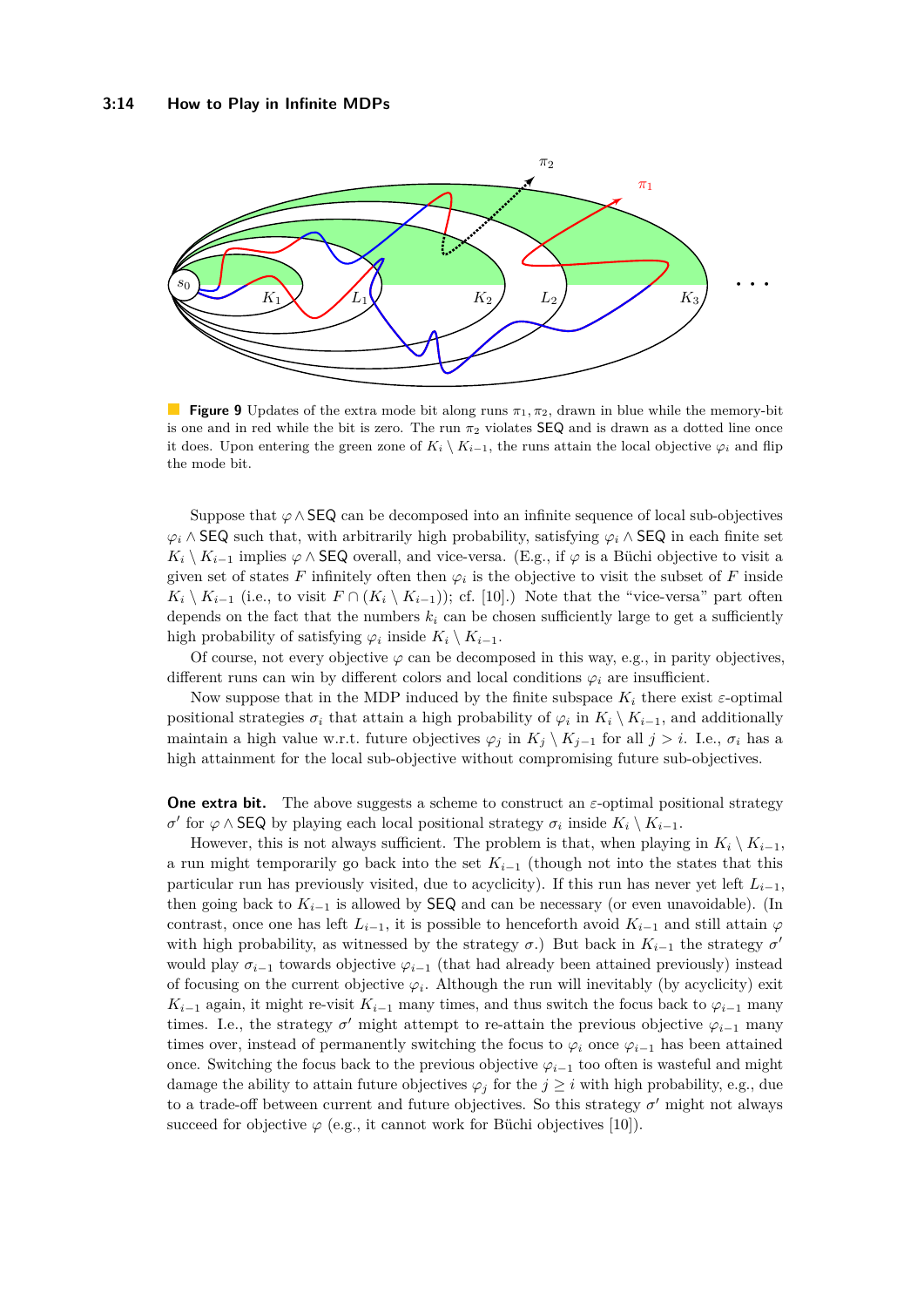<span id="page-13-0"></span>

**Figure 9** Updates of the extra mode bit along runs *π*1*, π*2, drawn in blue while the memory-bit is one and in red while the bit is zero. The run  $\pi_2$  violates  $\text{SEQ}$  and is drawn as a dotted line once it does. Upon entering the green zone of  $K_i \setminus K_{i-1}$ , the runs attain the local objective  $\varphi_i$  and flip the mode bit.

Suppose that *ϕ*∧SEQ can be decomposed into an infinite sequence of local sub-objectives  $\varphi$ <sup>*i*</sup> ∧ SEQ such that, with arbitrarily high probability, satisfying  $\varphi$ <sup>*i*</sup> ∧ SEQ in each finite set  $K_i \setminus K_{i-1}$  implies  $\varphi \wedge$  SEQ overall, and vice-versa. (E.g., if  $\varphi$  is a Büchi objective to visit a given set of states  $F$  infinitely often then  $\varphi_i$  is the objective to visit the subset of  $F$  inside  $K_i \setminus K_{i-1}$  (i.e., to visit  $F \cap (K_i \setminus K_{i-1})$ ); cf. [\[10\]](#page-16-10).) Note that the "vice-versa" part often depends on the fact that the numbers  $k_i$  can be chosen sufficiently large to get a sufficiently high probability of satisfying  $\varphi_i$  inside  $K_i \setminus K_{i-1}$ .

Of course, not every objective  $\varphi$  can be decomposed in this way, e.g., in parity objectives, different runs can win by different colors and local conditions  $\varphi_i$  are insufficient.

Now suppose that in the MDP induced by the finite subspace  $K_i$  there exist  $\varepsilon$ -optimal positional strategies  $\sigma_i$  that attain a high probability of  $\varphi_i$  in  $K_i \setminus K_{i-1}$ , and additionally maintain a high value w.r.t. future objectives  $\varphi_j$  in  $K_j \setminus K_{j-1}$  for all  $j > i$ . I.e.,  $\sigma_i$  has a high attainment for the local sub-objective without compromising future sub-objectives.

**One extra bit.** The above suggests a scheme to construct an  $\varepsilon$ -optimal positional strategy *σ*<sup> $'$ </sup> for *ϕ* ∧ **SEQ** by playing each local positional strategy *σ*<sup>*i*</sup> inside  $K$ <sup>*i*</sup>  $\setminus K$ <sup>*i*</sup>−1.

However, this is not always sufficient. The problem is that, when playing in  $K_i \setminus K_{i-1}$ , a run might temporarily go back into the set  $K_{i-1}$  (though not into the states that this particular run has previously visited, due to acyclicity). If this run has never yet left  $L_{i-1}$ , then going back to  $K_{i-1}$  is allowed by **SEQ** and can be necessary (or even unavoidable). (In contrast, once one has left  $L_{i-1}$ , it is possible to henceforth avoid  $K_{i-1}$  and still attain  $\varphi$ with high probability, as witnessed by the strategy  $\sigma$ .) But back in  $K_{i-1}$  the strategy  $\sigma'$ would play  $\sigma_{i-1}$  towards objective  $\varphi_{i-1}$  (that had already been attained previously) instead of focusing on the current objective  $\varphi_i$ . Although the run will inevitably (by acyclicity) exit *K*<sub>*i*−1</sub> again, it might re-visit  $K_{i-1}$  many times, and thus switch the focus back to  $\varphi_{i-1}$  many times. I.e., the strategy  $\sigma'$  might attempt to re-attain the previous objective  $\varphi_{i-1}$  many times over, instead of permanently switching the focus to  $\varphi_i$  once  $\varphi_{i-1}$  has been attained once. Switching the focus back to the previous objective  $\varphi_{i-1}$  too often is wasteful and might damage the ability to attain future objectives  $\varphi_j$  for the  $j \geq i$  with high probability, e.g., due to a trade-off between current and future objectives. So this strategy  $\sigma'$  might not always succeed for objective  $\varphi$  (e.g., it cannot work for Büchi objectives [\[10\]](#page-16-10)).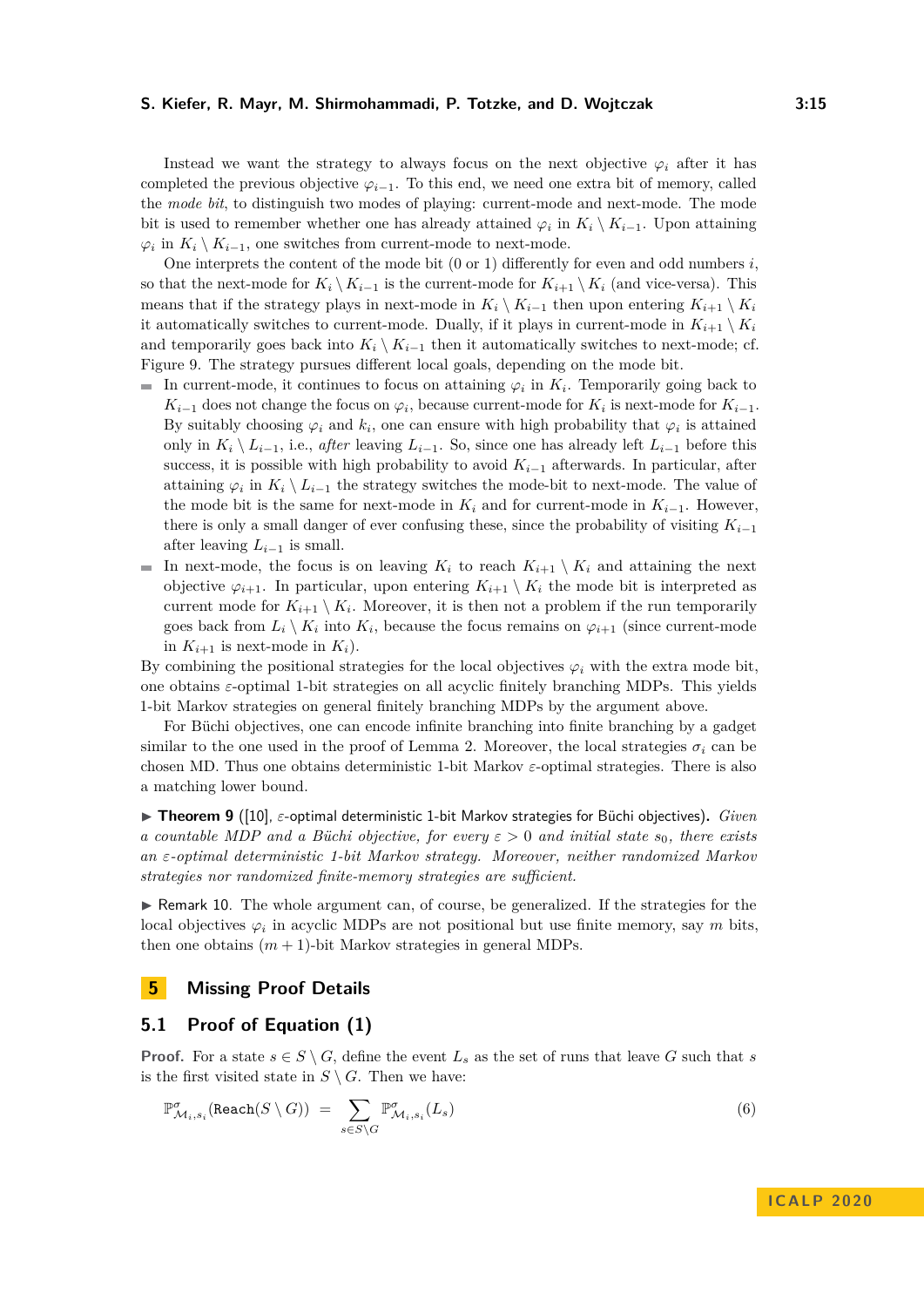Instead we want the strategy to always focus on the next objective  $\varphi_i$  after it has completed the previous objective  $\varphi_{i-1}$ . To this end, we need one extra bit of memory, called the *mode bit*, to distinguish two modes of playing: current-mode and next-mode. The mode bit is used to remember whether one has already attained  $\varphi_i$  in  $K_i \setminus K_{i-1}$ . Upon attaining  $\varphi_i$  in  $K_i \setminus K_{i-1}$ , one switches from current-mode to next-mode.

One interprets the content of the mode bit (0 or 1) differently for even and odd numbers *i*, so that the next-mode for  $K_i \setminus K_{i-1}$  is the current-mode for  $K_{i+1} \setminus K_i$  (and vice-versa). This means that if the strategy plays in next-mode in  $K_i \setminus K_{i-1}$  then upon entering  $K_{i+1} \setminus K_i$ it automatically switches to current-mode. Dually, if it plays in current-mode in  $K_{i+1} \setminus K_i$ and temporarily goes back into  $K_i \setminus K_{i-1}$  then it automatically switches to next-mode; cf. Figure [9.](#page-13-0) The strategy pursues different local goals, depending on the mode bit.

- In current-mode, it continues to focus on attaining  $\varphi_i$  in  $K_i$ . Temporarily going back to *K*<sub>*i*−1</sub></sub> does not change the focus on  $\varphi_i$ , because current-mode for *K*<sup>*i*</sup> is next-mode for *K*<sup>*i*</sup>−1. By suitably choosing  $\varphi_i$  and  $k_i$ , one can ensure with high probability that  $\varphi_i$  is attained only in  $K_i \setminus L_{i-1}$ , i.e., *after* leaving  $L_{i-1}$ . So, since one has already left  $L_{i-1}$  before this success, it is possible with high probability to avoid  $K_{i-1}$  afterwards. In particular, after attaining  $\varphi_i$  in  $K_i \setminus L_{i-1}$  the strategy switches the mode-bit to next-mode. The value of the mode bit is the same for next-mode in  $K_i$  and for current-mode in  $K_{i-1}$ . However, there is only a small danger of ever confusing these, since the probability of visiting  $K_{i-1}$ after leaving  $L_{i-1}$  is small.
- In next-mode, the focus is on leaving  $K_i$  to reach  $K_{i+1} \setminus K_i$  and attaining the next objective  $\varphi_{i+1}$ . In particular, upon entering  $K_{i+1} \setminus K_i$  the mode bit is interpreted as current mode for  $K_{i+1} \setminus K_i$ . Moreover, it is then not a problem if the run temporarily goes back from  $L_i \setminus K_i$  into  $K_i$ , because the focus remains on  $\varphi_{i+1}$  (since current-mode in  $K_{i+1}$  is next-mode in  $K_i$ ).

By combining the positional strategies for the local objectives  $\varphi_i$  with the extra mode bit, one obtains *ε*-optimal 1-bit strategies on all acyclic finitely branching MDPs. This yields 1-bit Markov strategies on general finitely branching MDPs by the argument above.

For Büchi objectives, one can encode infinite branching into finite branching by a gadget similar to the one used in the proof of Lemma [2.](#page-3-2) Moreover, the local strategies  $\sigma_i$  can be chosen MD. Thus one obtains deterministic 1-bit Markov *ε*-optimal strategies. There is also a matching lower bound.

■ Theorem 9 ([\[10\]](#page-16-10), ε-optimal deterministic 1-bit Markov strategies for Büchi objectives). *Given a countable MDP and a Büchi objective, for every ε >* 0 *and initial state s*0*, there exists an ε-optimal deterministic 1-bit Markov strategy. Moreover, neither randomized Markov strategies nor randomized finite-memory strategies are sufficient.*

 $\triangleright$  Remark 10. The whole argument can, of course, be generalized. If the strategies for the local objectives  $\varphi_i$  in acyclic MDPs are not positional but use finite memory, say *m* bits, then one obtains  $(m + 1)$ -bit Markov strategies in general MDPs.

## **5 Missing Proof Details**

## <span id="page-14-0"></span>**5.1 Proof of Equation [\(1\)](#page-5-0)**

**Proof.** For a state  $s \in S \setminus G$ , define the event  $L_s$  as the set of runs that leave G such that *s* is the first visited state in  $S \setminus G$ . Then we have:

$$
\mathbb{P}^{\sigma}_{\mathcal{M}_i,s_i}(\text{Reach}(S \setminus G)) = \sum_{s \in S \setminus G} \mathbb{P}^{\sigma}_{\mathcal{M}_i,s_i}(L_s)
$$
\n(6)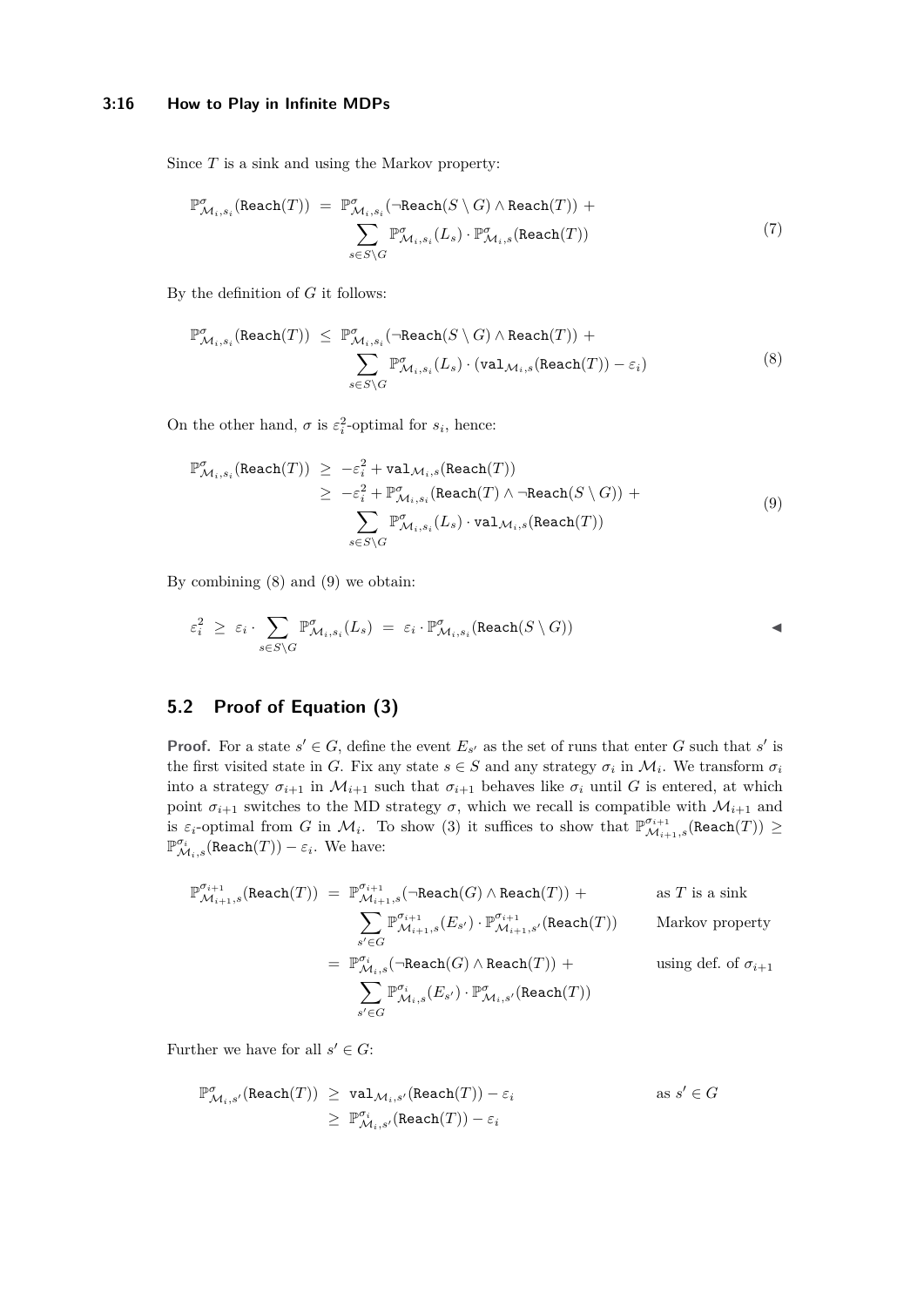#### **3:16 How to Play in Infinite MDPs**

Since *T* is a sink and using the Markov property:

$$
\mathbb{P}^{\sigma}_{\mathcal{M}_i, s_i}(\text{Reach}(T)) = \mathbb{P}^{\sigma}_{\mathcal{M}_i, s_i}(\neg \text{Reach}(S \setminus G) \land \text{Reach}(T)) + \sum_{s \in S \setminus G} \mathbb{P}^{\sigma}_{\mathcal{M}_i, s_i}(L_s) \cdot \mathbb{P}^{\sigma}_{\mathcal{M}_i, s}(\text{Reach}(T))
$$
\n(7)

By the definition of *G* it follows:

<span id="page-15-1"></span>
$$
\mathbb{P}^{\sigma}_{\mathcal{M}_i, s_i}(\text{Reach}(T)) \leq \mathbb{P}^{\sigma}_{\mathcal{M}_i, s_i}(\neg \text{Reach}(S \setminus G) \land \text{Reach}(T)) + \sum_{s \in S \setminus G} \mathbb{P}^{\sigma}_{\mathcal{M}_i, s_i}(L_s) \cdot (\text{val}_{\mathcal{M}_i, s}(\text{Reach}(T)) - \varepsilon_i)
$$
\n
$$
(8)
$$

On the other hand,  $\sigma$  is  $\varepsilon_i^2$ -optimal for  $s_i$ , hence:

<span id="page-15-2"></span>
$$
\mathbb{P}^{\sigma}_{\mathcal{M}_i, s_i}(\text{Reach}(T)) \ge -\varepsilon_i^2 + \text{val}_{\mathcal{M}_i, s}(\text{Reach}(T))
$$
\n
$$
\ge -\varepsilon_i^2 + \mathbb{P}^{\sigma}_{\mathcal{M}_i, s_i}(\text{Reach}(T) \wedge \neg \text{Reach}(S \setminus G)) + \sum_{s \in S \setminus G} \mathbb{P}^{\sigma}_{\mathcal{M}_i, s_i}(L_s) \cdot \text{val}_{\mathcal{M}_i, s}(\text{Reach}(T))
$$
\n(9)

By combining [\(8\)](#page-15-1) and [\(9\)](#page-15-2) we obtain:

$$
\varepsilon_i^2 \geq \varepsilon_i \cdot \sum_{s \in S \backslash G} \mathbb{P}^{\sigma}_{\mathcal{M}_i, s_i}(L_s) = \varepsilon_i \cdot \mathbb{P}^{\sigma}_{\mathcal{M}_i, s_i}(\text{Reach}(S \setminus G)) \qquad \qquad \blacktriangleleft
$$

# <span id="page-15-0"></span>**5.2 Proof of Equation [\(3\)](#page-6-1)**

**Proof.** For a state  $s' \in G$ , define the event  $E_{s'}$  as the set of runs that enter *G* such that  $s'$  is the first visited state in *G*. Fix any state  $s \in S$  and any strategy  $\sigma_i$  in  $\mathcal{M}_i$ . We transform  $\sigma_i$ into a strategy  $\sigma_{i+1}$  in  $\mathcal{M}_{i+1}$  such that  $\sigma_{i+1}$  behaves like  $\sigma_i$  until *G* is entered, at which point  $\sigma_{i+1}$  switches to the MD strategy  $\sigma$ , which we recall is compatible with  $\mathcal{M}_{i+1}$  and is  $\varepsilon_i$ -optimal from *G* in  $\mathcal{M}_i$ . To show [\(3\)](#page-6-1) it suffices to show that  $\mathbb{P}^{\sigma_{i+1}}_{\mathcal{M}_{i+1},s}$  (Reach(*T*))  $\geq$  $\mathbb{P}^{\sigma_i}_{\mathcal{M}_i,s}(\texttt{Reach}(T)) - \varepsilon_i$ . We have:

$$
\begin{array}{lcl} \mathbb{P}^{\sigma_{i+1}}_{\mathcal{M}_{i+1},s}(\text{Reach}(T)) & = & \mathbb{P}^{\sigma_{i+1}}_{\mathcal{M}_{i+1},s}(\neg \text{Reach}(G) \wedge \text{Reach}(T)) \; + & \qquad \text{as $T$ is a sink} \\ & & \sum\limits_{s' \in G} \mathbb{P}^{\sigma_{i+1}}_{\mathcal{M}_{i+1},s}(E_{s'}) \cdot \mathbb{P}^{\sigma_{i+1}}_{\mathcal{M}_{i+1},s'}(\text{Reach}(T)) & \qquad \text{Markov property} \\ & = & \mathbb{P}^{\sigma_{i}}_{\mathcal{M}_{i},s}(\neg \text{Reach}(G) \wedge \text{Reach}(T)) \; + & \qquad \qquad \text{using def. of $\sigma_{i+1}$} \\ & & \sum\limits_{s' \in G} \mathbb{P}^{\sigma_{i}}_{\mathcal{M}_{i},s}(E_{s'}) \cdot \mathbb{P}^{\sigma}_{\mathcal{M}_{i},s'}(\text{Reach}(T)) & \qquad \qquad \end{array}
$$

Further we have for all  $s' \in G$ :

$$
\begin{array}{lcl} \mathbb{P}^{\sigma}_{\mathcal{M}_i,s'}(\texttt{Reach}(T)) & \geq & \texttt{val}_{\mathcal{M}_i,s'}(\texttt{Reach}(T)) - \varepsilon_i & \qquad \qquad \text{as } s' \in G \\ \\ & \geq & \mathbb{P}^{\sigma_i}_{\mathcal{M}_i,s'}(\texttt{Reach}(T)) - \varepsilon_i & \end{array}
$$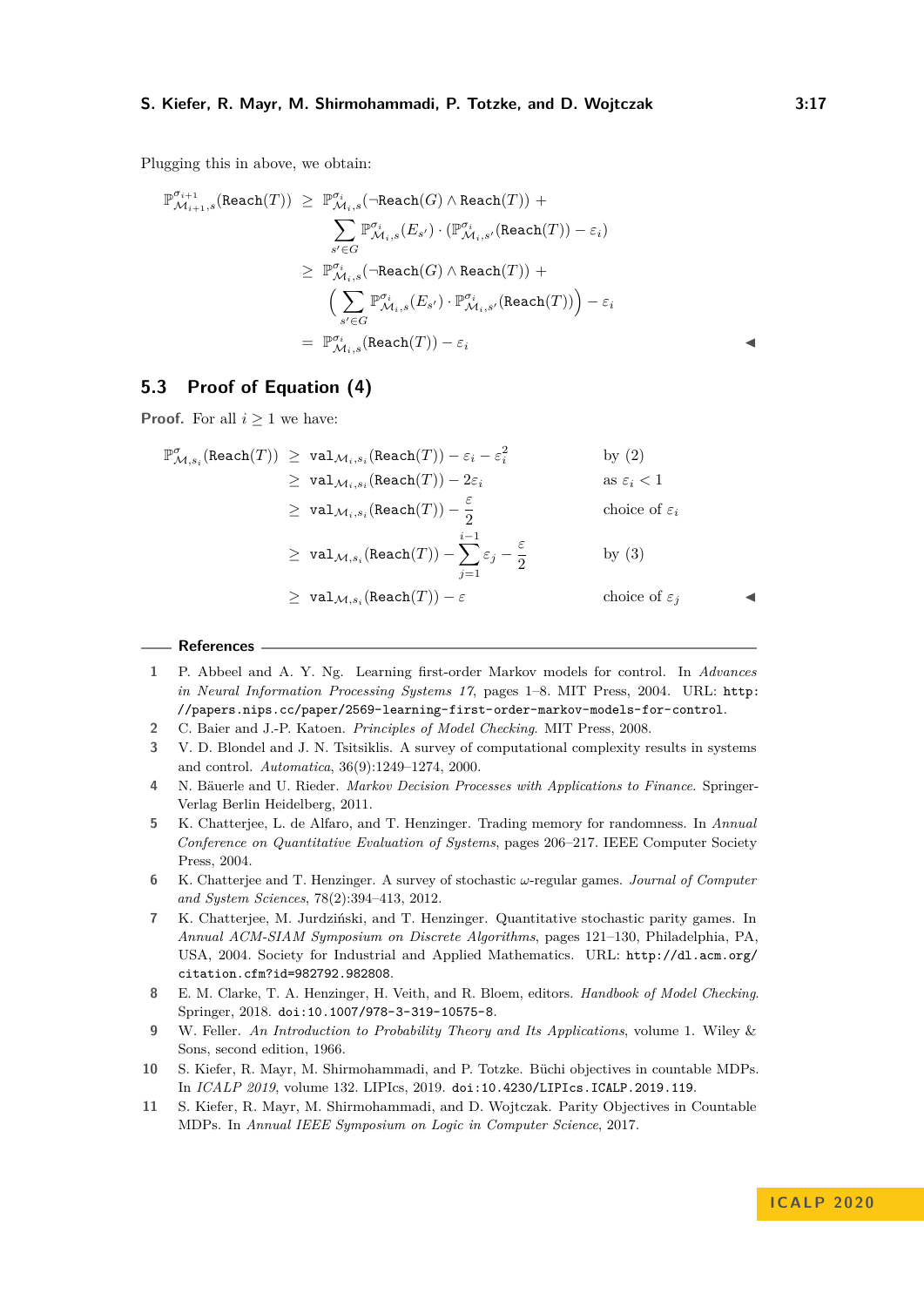Plugging this in above, we obtain:

$$
\begin{array}{cl} \mathbb{P}^{\sigma_{i+1}}_{\mathcal{M}_{i+1},s}(\text{Reach}(T)) & \geq & \mathbb{P}^{\sigma_{i}}_{\mathcal{M}_{i},s}(\neg \text{Reach}(G) \wedge \text{Reach}(T)) \; + \\ & \sum\limits_{s' \in G} \mathbb{P}^{\sigma_{i}}_{\mathcal{M}_{i},s}(E_{s'}) \cdot (\mathbb{P}^{\sigma_{i}}_{\mathcal{M}_{i},s'}(\text{Reach}(T)) - \varepsilon_{i}) \\ \\ & \geq & \mathbb{P}^{\sigma_{i}}_{\mathcal{M}_{i},s}(\neg \text{Reach}(G) \wedge \text{Reach}(T)) \; + \\ & \Big(\sum\limits_{s' \in G} \mathbb{P}^{\sigma_{i}}_{\mathcal{M}_{i},s}(E_{s'}) \cdot \mathbb{P}^{\sigma_{i}}_{\mathcal{M}_{i},s'}(\text{Reach}(T)) \Big) - \varepsilon_{i} \\ \\ & = & \mathbb{P}^{\sigma_{i}}_{\mathcal{M}_{i},s}(\text{Reach}(T)) - \varepsilon_{i} \end{array}
$$

## <span id="page-16-11"></span>**5.3 Proof of Equation [\(4\)](#page-6-2)**

**Proof.** For all  $i > 1$  we have:

$$
\mathbb{P}^{\sigma}_{\mathcal{M},s_i}(\text{Reach}(T)) \ge \text{val}_{\mathcal{M}_i,s_i}(\text{Reach}(T)) - \varepsilon_i - \varepsilon_i^2 \qquad \qquad \text{by (2)}
$$
\n
$$
\ge \text{val}_{\mathcal{M}_i,s_i}(\text{Reach}(T)) - 2\varepsilon_i \qquad \qquad \text{as } \varepsilon_i < 1
$$
\n
$$
\ge \text{val}_{\mathcal{M}_i,s_i}(\text{Reach}(T)) - \frac{\varepsilon}{2} \qquad \qquad \text{choice of } \varepsilon_i
$$
\n
$$
\ge \text{val}_{\mathcal{M},s_i}(\text{Reach}(T)) - \sum_{j=1}^{i-1} \varepsilon_j - \frac{\varepsilon}{2} \qquad \qquad \text{by (3)}
$$
\n
$$
\ge \text{val}_{\mathcal{M},s_i}(\text{Reach}(T)) - \varepsilon \qquad \qquad \text{choice of } \varepsilon_j
$$

#### **References**

- <span id="page-16-1"></span>**1** P. Abbeel and A. Y. Ng. Learning first-order Markov models for control. In *Advances in Neural Information Processing Systems 17*, pages 1–8. MIT Press, 2004. URL: [http:](http://papers.nips.cc/paper/2569-learning-first-order-markov-models-for-control) [//papers.nips.cc/paper/2569-learning-first-order-markov-models-for-control](http://papers.nips.cc/paper/2569-learning-first-order-markov-models-for-control).
- <span id="page-16-4"></span>**2** C. Baier and J.-P. Katoen. *Principles of Model Checking*. MIT Press, 2008.
- <span id="page-16-0"></span>**3** V. D. Blondel and J. N. Tsitsiklis. A survey of computational complexity results in systems and control. *Automatica*, 36(9):1249–1274, 2000.
- <span id="page-16-2"></span>**4** N. Bäuerle and U. Rieder. *Markov Decision Processes with Applications to Finance*. Springer-Verlag Berlin Heidelberg, 2011.
- <span id="page-16-5"></span>**5** K. Chatterjee, L. de Alfaro, and T. Henzinger. Trading memory for randomness. In *Annual Conference on Quantitative Evaluation of Systems*, pages 206–217. IEEE Computer Society Press, 2004.
- <span id="page-16-6"></span>**6** K. Chatterjee and T. Henzinger. A survey of stochastic *ω*-regular games. *Journal of Computer and System Sciences*, 78(2):394–413, 2012.
- <span id="page-16-7"></span>**7** K. Chatterjee, M. Jurdziński, and T. Henzinger. Quantitative stochastic parity games. In *Annual ACM-SIAM Symposium on Discrete Algorithms*, pages 121–130, Philadelphia, PA, USA, 2004. Society for Industrial and Applied Mathematics. URL: [http://dl.acm.org/](http://dl.acm.org/citation.cfm?id=982792.982808) [citation.cfm?id=982792.982808](http://dl.acm.org/citation.cfm?id=982792.982808).
- <span id="page-16-3"></span>**8** E. M. Clarke, T. A. Henzinger, H. Veith, and R. Bloem, editors. *Handbook of Model Checking*. Springer, 2018. [doi:10.1007/978-3-319-10575-8](https://doi.org/10.1007/978-3-319-10575-8).
- <span id="page-16-9"></span>**9** W. Feller. *An Introduction to Probability Theory and Its Applications*, volume 1. Wiley & Sons, second edition, 1966.
- <span id="page-16-10"></span>**10** S. Kiefer, R. Mayr, M. Shirmohammadi, and P. Totzke. Büchi objectives in countable MDPs. In *ICALP 2019*, volume 132. LIPIcs, 2019. [doi:10.4230/LIPIcs.ICALP.2019.119](https://doi.org/10.4230/LIPIcs.ICALP.2019.119).
- <span id="page-16-8"></span>**11** S. Kiefer, R. Mayr, M. Shirmohammadi, and D. Wojtczak. Parity Objectives in Countable MDPs. In *Annual IEEE Symposium on Logic in Computer Science*, 2017.